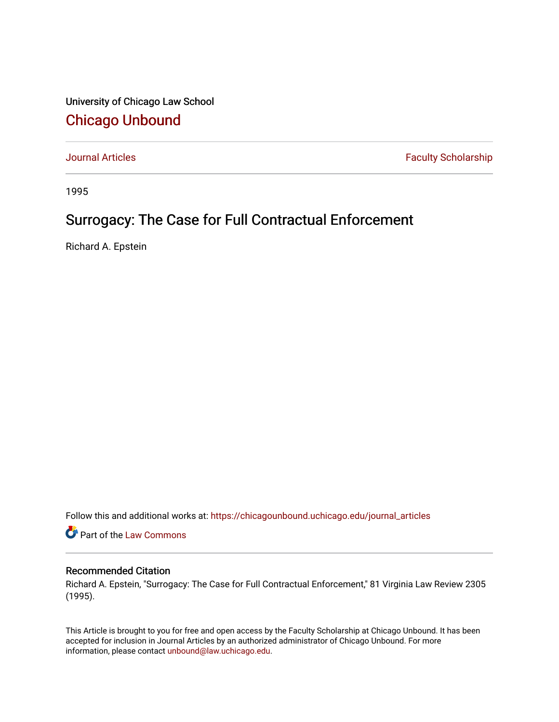University of Chicago Law School [Chicago Unbound](https://chicagounbound.uchicago.edu/)

[Journal Articles](https://chicagounbound.uchicago.edu/journal_articles) **Faculty Scholarship Faculty Scholarship** 

1995

# Surrogacy: The Case for Full Contractual Enforcement

Richard A. Epstein

Follow this and additional works at: [https://chicagounbound.uchicago.edu/journal\\_articles](https://chicagounbound.uchicago.edu/journal_articles?utm_source=chicagounbound.uchicago.edu%2Fjournal_articles%2F1339&utm_medium=PDF&utm_campaign=PDFCoverPages) 

Part of the [Law Commons](http://network.bepress.com/hgg/discipline/578?utm_source=chicagounbound.uchicago.edu%2Fjournal_articles%2F1339&utm_medium=PDF&utm_campaign=PDFCoverPages)

# Recommended Citation

Richard A. Epstein, "Surrogacy: The Case for Full Contractual Enforcement," 81 Virginia Law Review 2305 (1995).

This Article is brought to you for free and open access by the Faculty Scholarship at Chicago Unbound. It has been accepted for inclusion in Journal Articles by an authorized administrator of Chicago Unbound. For more information, please contact [unbound@law.uchicago.edu](mailto:unbound@law.uchicago.edu).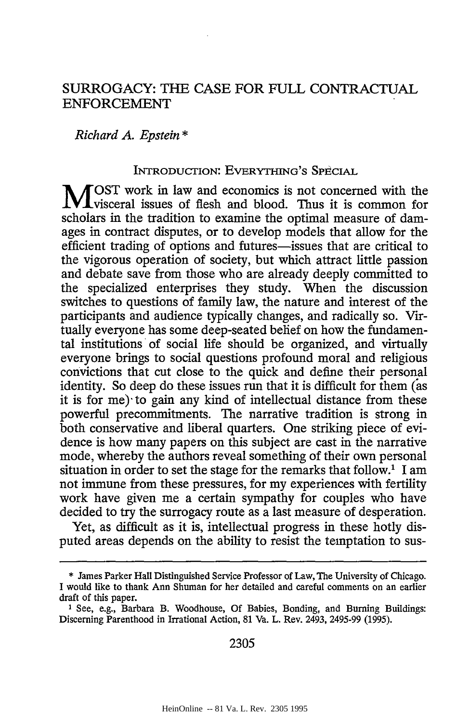# SURROGACY: **THE CASE** FOR **FULL CONTRACTUAL ENFORCEMENT**

# *Richard A. Epstein \**

### INTRODUCTION: EVERYTHING'S SPECIAL

**M** OST work in law and economics is not concerned with the **VI** visceral issues of flesh and blood. Thus it is common for scholars in the tradition to examine the optimal measure of damages in contract disputes, or to develop models that allow for the efficient trading of options and futures—issues that are critical to the vigorous operation of society, but which attract little passion and debate save from those who are already deeply committed to the specialized enterprises they study. When the discussion switches to questions of family law, the nature and interest of the participants and audience typically changes, and radically so. Virtually everyone has some deep-seated belief on how the fundamental institutions of social life should be organized, and virtually everyone brings to social questions profound moral and religious convictions that cut close to the quick and define their personal identity. So deep do these issues run that it is difficult for them (as it is for me)' to gain any kind of intellectual distance from these powerful precommitments. The narrative tradition is strong in both conservative and liberal quarters. One striking piece of evidence is how many papers on this subject are cast in the narrative mode, whereby the authors reveal something of their own personal situation in order to set the stage for the remarks that follow.' I am not immune from these pressures, for my experiences with fertility work have given me a certain sympathy for couples who have decided to try the surrogacy route as a last measure of desperation.

Yet, as difficult as it is, intellectual progress in these hotly disputed areas depends on the ability to resist the temptation to sus-

#### 2305

**<sup>\*</sup>** James Parker Hall Distinguished Service Professor of Law, The University of Chicago. I would like to thank Ann Shuman for her detailed and careful comments on an earlier draft of this paper.<br><sup>1</sup> See, e.g., Barbara B. Woodhouse, Of Babies, Bonding, and Burning Buildings:

Discerning Parenthood in Irrational Action, 81 Va. L. Rev. 2493, 2495-99 (1995).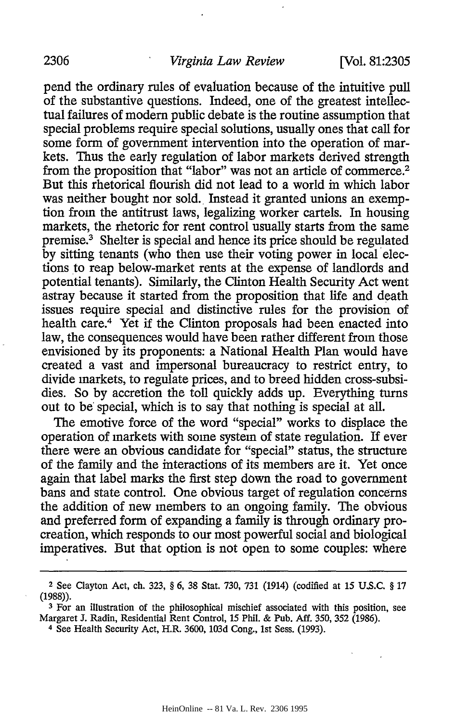# *Virginia Law Review* **2306** [Vol. **81:2305**

pend the ordinary rules of evaluation because of the intuitive pull of the substantive questions. Indeed, one of the greatest intellectual failures of modem public debate is the routine assumption that special problems require special solutions, usually ones that call for some form of government intervention into the operation of markets. Thus the early regulation of labor markets derived strength from the proposition that "labor" was not an article of commerce.<sup>2</sup> But this rhetorical flourish did not lead to a world in which labor was neither bought nor sold. Instead it granted unions an exemption from the antitrust laws, legalizing worker cartels. In housing markets, the rhetoric for rent control usually starts from the same premise.3 Shelter is special and hence its price should be regulated by sitting tenants (who then use their voting power in local elections to reap below-market rents at the expense of landlords and potential tenants). Similarly, the Clinton Health Security Act went astray because it started from the proposition that life and death issues require special and distinctive rules for the provision of health care.<sup>4</sup> Yet if the Clinton proposals had been enacted into law, the consequences would have been rather different from those envisioned by its proponents: a National Health Plan would have created a vast and impersonal bureaucracy to restrict entry, to divide markets, to regulate prices, and to breed hidden cross-subsidies. So by accretion the toll quickly adds up. Everything turns out to be special, which is to say that nothing is special at all.

The emotive force of the word "special" works to displace the operation of markets with some system of state regulation. If ever there were an obvious candidate for "special" status, the structure of the family and the interactions of its members are it. Yet once again that label marks the first step down the road to government bans and state control. One obvious target of regulation concerns the addition of new members to an ongoing family. The obvious and preferred form of expanding a family is through ordinary procreation, which responds to our most powerful social and biological imperatives. But that option is not open to some couples: where

4 See Health Security Act, H.R. 3600, 103d Cong., 1st Sess. (1993).

<sup>2</sup> See Clayton Act, ch. 323, § 6, 38 Stat. 730, 731 (1914) (codified at 15 U.S.C. § 17 (1988)).

**<sup>3</sup>** For an illustration of the philosophical mischief associated with this position, see Margaret J. Radin, Residential Rent Control, 15 Phil. & Pub. Aft. 350, 352 (1986).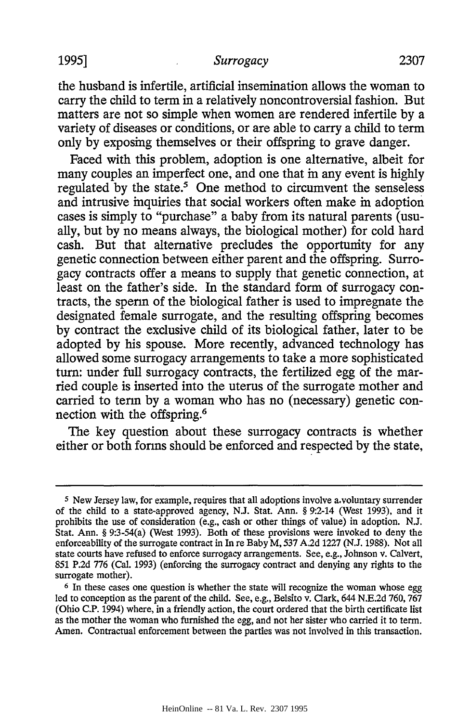the husband is infertile, artificial insemination allows the woman to carry the child to term in a relatively noncontroversial fashion. But matters are not so simple when women are rendered infertile by a variety of diseases or conditions, or are able to carry a child to term only by exposing themselves or their offspring to grave danger.

Faced with this problem, adoption is one alternative, albeit for many couples an imperfect one, and one that in any event is highly regulated by the state.<sup>5</sup> One method to circumvent the senseless and intrusive inquiries that social workers often make in adoption cases is simply to "purchase" a baby from its natural parents (usually, but by no means always, the biological mother) for cold hard cash. But that alternative precludes the opportunity for any genetic connection between either parent and the offspring. Surrogacy contracts offer a means to supply that genetic connection, at least on the father's side. In the standard form of surrogacy contracts, the sperm of the biological father is used to impregnate the designated female surrogate, and the resulting offspring becomes by contract the exclusive child of its biological father, later to be adopted by his spouse. More recently, advanced technology has allowed some surrogacy arrangements to take a more sophisticated turn: under full surrogacy contracts, the fertilized egg of the married couple is inserted into the uterus of the surrogate mother and carried to term by a woman who has no (necessary) genetic connection with the offspring.6

The key question about these surrogacy contracts is whether either or both forms should be enforced and respected by the state,

**<sup>5</sup>** New Jersey law, for example, requires that all adoptions involve a voluntary surrender of the child to a state-approved agency, **NJ.** Stat. Ann. § 9:2-14 (West 1993), and it prohibits the use of consideration (e.g., cash or other things of value) in adoption. N.J. Stat. Ann. § 9:3-54(a) (West 1993). Both of these provisions were invoked to deny the enforceability of the surrogate contract in In re Baby M, 537 A.2d 1227 (N.J. 1988). Not all state courts have refused to enforce surrogacy arrangements. See, e.g., Johnson v. Calvert, 851 P.2d 776 (Cal. 1993) (enforcing the surrogacy contract and denying any rights to the surrogate mother).

**<sup>6</sup>** In these cases one question is whether the state will recognize the woman whose egg led to conception as the parent of the child. See, e.g., Belsito v. Clark, 644 N.E.2d 760, 767 (Ohio C.P. 1994) where, in a friendly action, the court ordered that the birth certificate list as the mother the woman who furnished the egg, and not her sister who carried it to term. Amen. Contractual enforcement between the parties was not involved in this transaction.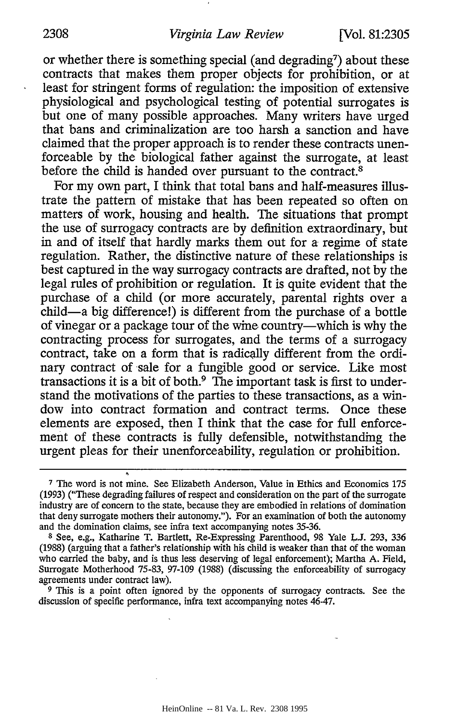or whether there is something special (and degrading<sup>7</sup>) about these contracts that makes them proper objects for prohibition, or at least for stringent forms of regulation: the imposition of extensive physiological and psychological testing of potential surrogates is but one of many possible approaches. Many writers have urged that bans and criminalization are too harsh a sanction and have claimed that the proper approach is to render these contracts unenforceable by the biological father against the surrogate, at least before the child is handed over pursuant to the contract.<sup>8</sup>

For my own part, I think that total bans and half-measures illustrate the pattern of mistake that has been repeated so often on matters of work, housing and health. The situations that prompt the use of surrogacy contracts are by definition extraordinary, but in and of itself that hardly marks them out for a regime of state regulation. Rather, the distinctive nature of these relationships is best captured in the way surrogacy contracts are drafted, not by the legal rules of prohibition or regulation. It is quite evident that the purchase of a child (or more accurately, parental rights over a child-a big difference!) is different from the purchase of a bottle of vinegar or a package tour of the wine- country-which is why the contracting process for surrogates, and the terms of a surrogacy contract, take on a form that is radically different from the ordinary contract of sale for a fungible good or service. Like most transactions it is a bit of both.9 The important task is first to understand the motivations of the parties to these transactions, as a window into contract formation and contract terms. Once these elements are exposed, then I think that the case for full enforcement of these contracts is fully defensible, notwithstanding the urgent pleas for their unenforceability, regulation or prohibition.

**9** This is a point often ignored by the opponents of surrogacy contracts. See the discussion of specific performance, infra text accompanying notes 46-47.

**<sup>7</sup>**The word is not mine. See Elizabeth Anderson, Value in Ethics and Economics 175 (1993) ("These degrading failures of respect and consideration on the part of the surrogate industry are of concern to the state, because they are embodied in relations of domination that deny surrogate mothers their autonomy."). For an examination of both the autonomy and the domination claims, see infra text accompanying notes 35-36.

**<sup>8</sup>** See, e.g., Katharine T. Bartlett, Re-Expressing Parenthood, 98 Yale Li. 293, 336 (1988) (arguing that a father's relationship with his child is weaker than that of the woman who carried the baby, and is thus less deserving of legal enforcement); Martha A. Field, Surrogate Motherhood 75-83, 97-109 (1988) (discussing the enforceability of surrogacy agreements under contract law).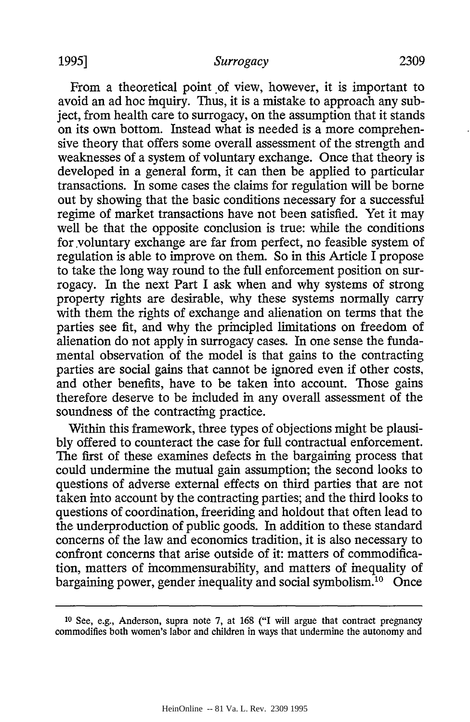From a theoretical point of view, however, it is important to avoid an ad hoc inquiry. Thus, it is a mistake to approach any subject, from health care to surrogacy, on the assumption that it stands on its own bottom. Instead what is needed is a more comprehensive theory that offers some overall assessment of the strength and weaknesses of a system of voluntary exchange. Once that theory is developed in a general form, it can then be applied to particular transactions. In some cases the claims for regulation will be borne out by showing that the basic conditions necessary for a successful regime of market transactions have not been satisfied. Yet it may well be that the opposite conclusion is true: while the conditions for .voluntary exchange are far from perfect, no feasible system of regulation is able to improve on them. So in this Article I propose to take the long way round to the full enforcement position on surrogacy. In the next Part I ask when and why systems of strong property rights are desirable, why these systems normally carry with them the rights of exchange and alienation on terms that the parties see fit, and why the principled limitations on freedom of alienation do not apply in surrogacy cases. In one sense the fundamental observation of the model is that gains to the contracting parties are social gains that cannot be ignored even if other costs, and other benefits, have to be taken into account. Those gains therefore deserve to be included in any overall assessment of the soundness of the contracting practice.

Within this framework, three types of objections might be plausibly offered to counteract the case for full contractual enforcement. The first of these examines defects in the bargaining process that could undermine the mutual gain assumption; the second looks to questions of adverse external effects on third parties that are not taken into account by the contracting parties; and the third looks to questions of coordination, freeriding and holdout that often lead to the underproduction of public goods. In addition to these standard concerns of the law and economics tradition, it is also necessary to confront concerns that arise outside of it: matters of commodification, matters of incommensurability, and matters of inequality of bargaining power, gender inequality and social symbolism.<sup>10</sup> Once

<sup>10</sup>See, e.g., Anderson, supra note 7, at **168** ("I will argue that contract pregnancy commodifies both women's labor and children in ways that undermine the autonomy and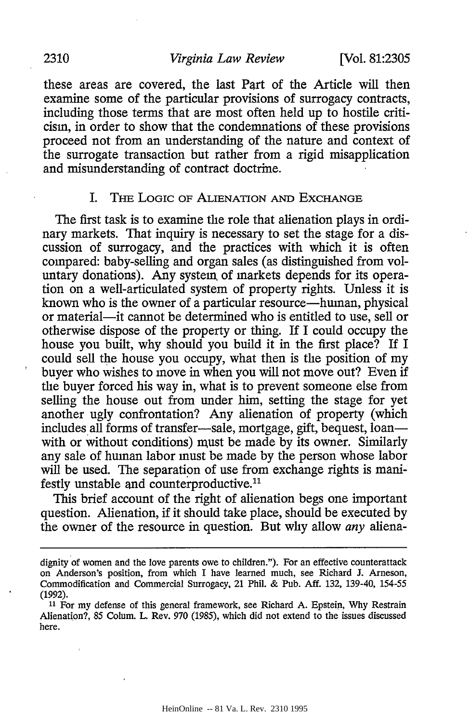these areas are covered, the last Part of the Article will then examine some of the particular provisions of surrogacy contracts, including those terms that are most often held up to hostile criticism, in order to show that the condemnations of these provisions proceed not from an understanding of the nature and context of the surrogate transaction but rather from a rigid misapplication and misunderstanding of contract doctrine.

### I. THE LOGIC OF ALIENATION **AND** EXCHANGE

The first task is to examine the role that alienation plays in ordinary markets. That inquiry is necessary to set the stage for a discussion of surrogacy, and the practices with which it is often compared: baby-selling and organ sales (as distinguished from voluntary donations). Any system of markets depends for its operation on a well-articulated system of property rights. Unless it is known who is the owner of a particular resource—human, physical or material-it cannot be determined who is entitled to use, sell or otherwise dispose of the property or thing. If I could occupy the house you built, why should you build it in the first place? If I could sell the house you occupy, what then is the position of my buyer who wishes to move in when you will not move out? Even if the buyer forced his way in, what is to prevent someone else from selling the house out from under him, setting the stage for yet another ugly confrontation? Any alienation of property (which includes all forms of transfer-sale, mortgage, gift, bequest, loanwith or without conditions) must be made by its owner. Similarly any sale of human labor must be made by the person whose labor will be used. The separation of use from exchange rights is manifestly unstable and counterproductive.<sup>11</sup>

This brief account of the right of alienation begs one important question. Alienation, if it should take place, should be executed by the owner of the resource in question. But why allow *any* aliena-

dignity of women and the love parents owe to children."). For an effective counterattack on Anderson's position, from which I have learned much, see Richard J. Arneson, Commodification and Commercial Surrogacy, 21 Phil. & Pub. Aff. 132, 139-40, *154-55* (1992).

**<sup>11</sup>** For my defense of this general framework, see Richard A. Epstein, Why Restrain Alienation?, 85 Colum. L. Rev. 970 (1985), which did not extend to the issues discussed here.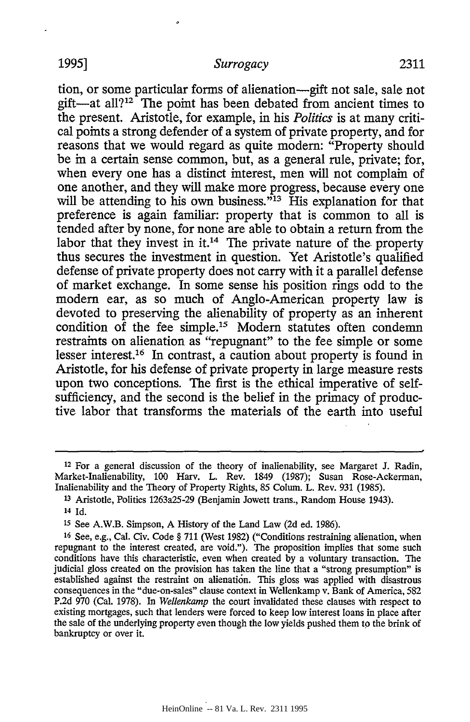tion, or some particular forms of alienation-gift not sale, sale not gift-at all?<sup>12</sup> The point has been debated from ancient times to the present. Aristotle, for example, in his *Politics* is at many critical points a strong defender of a system of private property, and for reasons that we would regard as quite modem: "Property should be in a certain sense common, but, as a general rule, private; for, when every one has a distinct interest, men will not complain of one another, and they will make more progress, because every one will be attending to his own business.<sup> $n_{13}$ </sup> His explanation for that preference is again familiar: property that is common to all is tended after by none, for none are able to obtain a return from the labor that they invest in  $it^{14}$ . The private nature of the property thus secures the investment in question. Yet Aristotle's qualified defense of private property does not carry with it a parallel defense of market exchange. In some sense his position rings odd to the modem ear, as so much of Anglo-American property law is devoted to preserving the alienability of property as an inherent condition of the fee simple.<sup>15</sup> Modern statutes often condemn restraints on alienation as "repugnant" to the fee simple or some lesser interest.<sup>16</sup> In contrast, a caution about property is found in Aristotle, for his defense of private property in large measure rests upon two conceptions. The first is the ethical imperative of selfsufficiency, and the second is the belief in the primacy of productive labor that transforms the materials of the earth into useful

<sup>&</sup>lt;sup>12</sup> For a general discussion of the theory of inalienability, see Margaret J. Radin, Market-Inalienability, 100 Harv. L. Rev. 1849 (1987); Susan Rose-Ackerman, Inalienability and the Theory of Property Rights, 85 Colum. L. Rev. 931 (1985).

**<sup>13</sup>** Aristotle, Politics 1263a25-29 (Benjamin Jowett trans., Random House 1943). 14 Id.

**<sup>15</sup>** See A.W.B. Simpson, A History of the Land Law (2d ed. 1986).

**<sup>16</sup>**See, e.g., Cal. Civ. Code § 711 (West 1982) ("Conditions restraining alienation, when repugnant to the interest created, are void."). The proposition implies that some such conditions have this characteristic, even when created by a voluntary transaction. The judicial gloss created on the provision has taken the line that a "strong presumption" is established against the restraint on alienation. This gloss was applied with disastrous consequences in the "due-on-sales" clause context in Wellenkamp v. Bank of America, 582 P.2d 970 (Cal. 1978). In *Wellenkamp* the court invalidated these clauses with respect to existing mortgages, such that lenders were forced to keep low interest loans in place after the sale of the underlying property even though the low yields pushed them to the brink of bankruptcy or over it.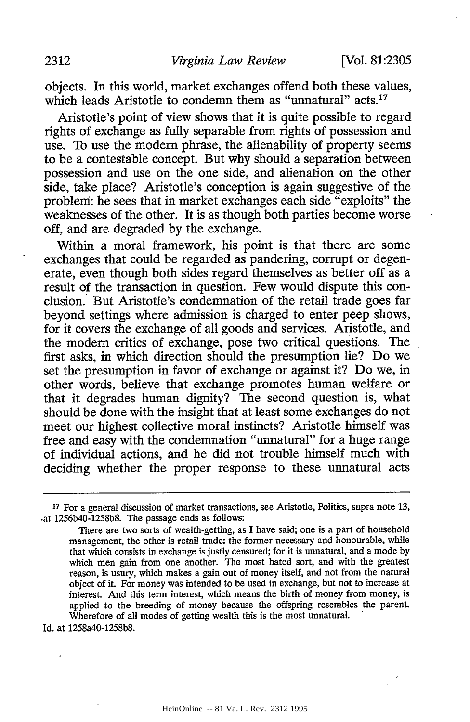objects. In this world, market exchanges offend both these values, which leads Aristotle to condemn them as "unnatural" acts.<sup>17</sup>

Aristotle's point of view shows that it is quite possible to regard rights of exchange as fully separable from rights of possession and use. To use the modem phrase, the alienability of property seems to be a contestable concept. But why should a separation between possession and use on the one side, and alienation on the other side, take place? Aristotle's conception is again suggestive of the problem: he sees that in market exchanges each side "exploits" the weaknesses of the other. It is as though both parties become worse off, and are degraded by the exchange.

Within a moral framework, his point is that there are some exchanges that could be regarded as pandering, corrupt or degenerate, even though both sides regard themselves as better off as a result of the transaction in question. Few would dispute this conclusion. But Aristotle's condemnation of the retail trade goes far beyond settings where admission is charged to enter peep shows, for it covers the exchange of all goods and services. Aristotle, and the modem critics of exchange, pose two critical questions. The first asks, in which direction should the presumption lie? Do we set the presumption in favor of exchange or against it? Do we, in other words, believe that exchange promotes human welfare or that it degrades human dignity? The second question is, what should be done with the insight that at least some exchanges do not meet our highest collective moral instincts? Aristotle himself was free and easy with the condemnation "unnatural" for a huge range of individual actions, and he did not trouble himself much with deciding whether the proper response to these unnatural acts

Id. at 1258a40-1258b8.

**<sup>17</sup>**For a general discussion of market transactions, see Aristotle, Politics, supra note 13, .at 1256b40-1258b8. The passage ends as follows:

There are two sorts of wealth-getting, as I have said; one is a part of household management, the other is retail trade: the former necessary and honourable, while that which consists in exchange is justly censured; for it is unnatural, and a mode by which men gain from one another. The most hated sort, and with the greatest reason, is usury, which makes a gain out of money itself, and not from the natural object of it. For money was intended to be used in exchange, but not to increase at interest. And this term interest, which means the birth of money from money, is applied to the breeding of money because the offspring resembles the parent. Wherefore of all modes of getting wealth this is the most unnatural.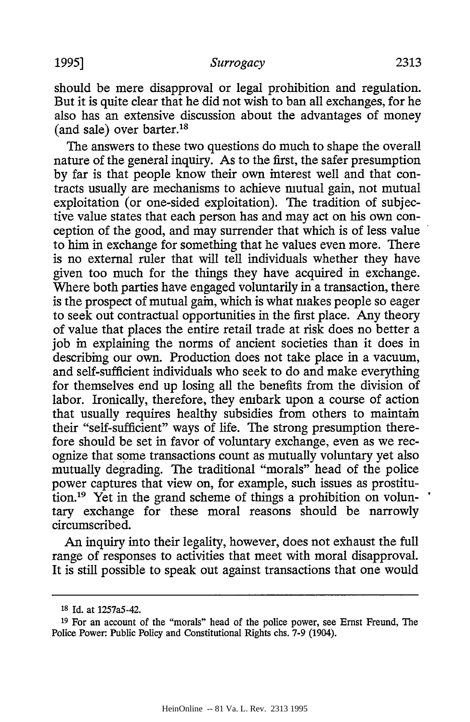should be mere disapproval or legal prohibition and regulation. But it is quite clear that he did not wish to ban all exchanges, for he also has an extensive discussion about the advantages of money (and sale) over barter.<sup>18</sup>

The answers to these two questions do much to shape the overall nature of the general inquiry. As to the first, the safer presumption by far is that people know their own interest well and that contracts usually are mechanisms to achieve mutual gain, not mutual exploitation (or one-sided exploitation). The tradition of subjective value states that each person has and may act on his own conception of the good, and may surrender that which is of less value to him in exchange for something that he values even more. There is no external ruler that will tell individuals whether they have given too much for the things they have acquired in exchange. Where both parties have engaged voluntarily in a transaction, there is the prospect of mutual gain, which is what makes people so eager to seek out contractual opportunities in the first place. Any theory of value that places the entire retail trade at risk does no better a job in explaining the norms of ancient societies than it does in describing our own. Production does not take place in a vacuum, and self-sufficient individuals who seek to do and make everything for themselves end up losing all the benefits from the division of labor. Ironically, therefore, they embark upon a course of action that usually requires healthy subsidies from others to maintain their "self-sufficient" ways of life. The strong presumption therefore should be set in favor of voluntary exchange, even as we recognize that some transactions count as mutually voluntary yet also mutually degrading. The traditional "morals" head of the police power captures that view on, for example, such issues as prostitution.<sup>19</sup> Yet in the grand scheme of things a prohibition on voluntary exchange for these moral reasons should be narrowly circumscribed.

An inquiry into their legality, however, does not exhaust the full range of responses to activities that meet with moral disapproval. It is still possible to speak out against transactions that one would

**<sup>18</sup>**Id. at 1257a5-42.

**<sup>19</sup>**For an account of the "morals" head of the police power, see Ernst Freund, The Police Power: Public Policy and Constitutional Rights chs. 7-9 (1904).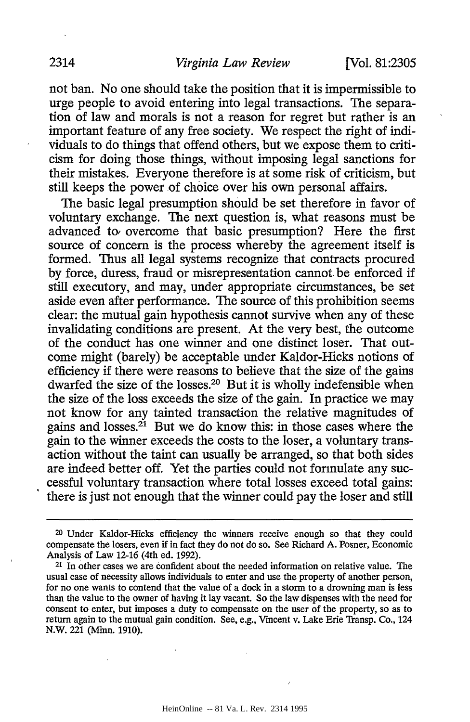not ban. No one should take the position that it is impermissible to urge people to avoid entering into legal transactions. The separation of law and morals is not a reason for regret but rather is an important feature of any free society. We respect the right of individuals to do things that offend others, but we expose them to criticism for doing those things, without imposing legal sanctions for their mistakes. Everyone therefore is at some risk of criticism, but still keeps the power of choice over his own personal affairs.

The basic legal presumption should be set therefore in favor of voluntary exchange. The next question is, what reasons must be advanced *to,* overcome that basic presumption? Here the first source of concern is the process whereby the agreement itself is formed. Thus all legal systems recognize that contracts procured by force, duress, fraud or misrepresentation cannot. be enforced if still executory, and may, under appropriate circumstances, be set aside even after performance. The source of this prohibition seems clear: the mutual gain hypothesis cannot survive when any of these invalidating conditions are present. At the very best, the outcome of the conduct has one winner and one distinct loser. That outcome might (barely) be acceptable under Kaldor-Hicks notions of efficiency if there were reasons to believe that the size of the gains dwarfed the size of the losses.<sup>20</sup> But it is wholly indefensible when the size of the loss exceeds the size of the gain. In practice we may not know for any tainted transaction the relative magnitudes of gains and losses.<sup>21</sup> But we do know this: in those cases where the gain to the winner exceeds the costs to the loser, a voluntary transaction without the taint can usually be arranged, so that both sides are indeed better off. Yet the parties could not formulate any successful voluntary transaction where total losses exceed total gains: there is just not enough that the winner could pay the loser and still

**<sup>20</sup>**Under Kaldor-Hicks efficiency the winners receive enough so that they could compensate the losers, even if in fact they do not do so. See Richard A. Posner, Economic Analysis of Law 12-16 (4th ed. 1992).

<sup>21</sup>In other cases we are confident about the needed information on relative value. The usual case of necessity allows individuals to enter and use the property of another person, for no one wants to contend that the value of a dock in a storm to a drowning man is less than the value to the owner of having it lay vacant. So the law dispenses with the need for consent to enter, but imposes a duty to compensate on the user of the property, so as to return again to the mutual gain condition. See, e.g., Vincent v. Lake Erie Transp. Co., 124 N.W. 221 (Minn. 1910).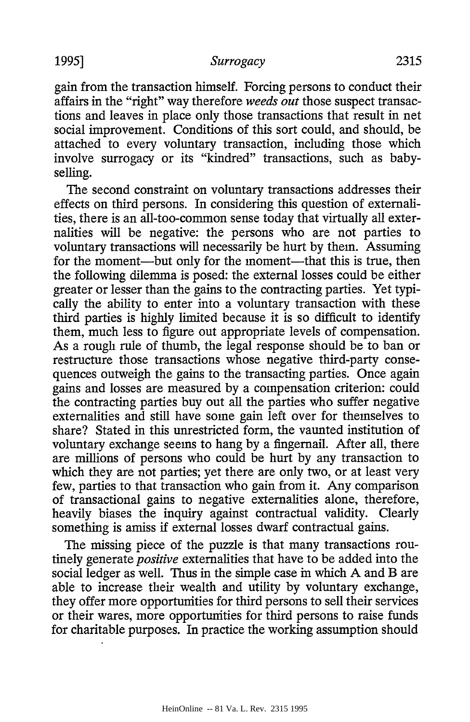gain from the transaction himself. Forcing persons to conduct their affairs in the "right" way therefore *weeds out* those suspect transactions and leaves in place only those transactions that result in net social improvement. Conditions of this sort could, and should, be attached to every voluntary transaction, including those which involve surrogacy or its "kindred" transactions, such as babyselling.

The second constraint on voluntary transactions addresses their effects on third persons. In considering this question of externalities, there is an all-too-common sense today that virtually all externalities will be negative: the persons who are not parties to voluntary transactions will necessarily be hurt by them. Assuming for the moment-but only for the moment-that this is true, then the following dilemma is posed: the external losses could be either greater or lesser than the gains to the contracting parties. Yet typically the ability to enter into a voluntary transaction with these third parties is highly limited because it is so difficult to identify them, much less to figure out appropriate levels of compensation. As a rough rule of thumb, the legal response should be to ban or restructure those transactions whose negative third-party consequences outweigh the gains to the transacting parties. Once again gains and losses are measured by a compensation criterion: could the contracting parties buy out all the parties who suffer negative externalities and still have some gain left over for themselves to share? Stated in this unrestricted form, the vaunted institution of voluntary exchange seems to hang by a fingernail. After all, there are millions of persons who could be hurt by any transaction to which they are not parties; yet there are only two, or at least very few, parties to that transaction who gain from it. Any comparison of transactional gains to negative externalities alone, therefore, heavily biases the inquiry against contractual validity. Clearly something is amiss if external losses dwarf contractual gains.

The missing piece of the puzzle is that many transactions routinely generate *positive* externalities that have to be added into the social ledger as well. Thus in the simple case in which A and B are able to increase their wealth and utility by voluntary exchange, they offer more opportunities for third persons to sell their services or their wares, more opportunities for third persons to raise funds for charitable purposes. In practice the working assumption should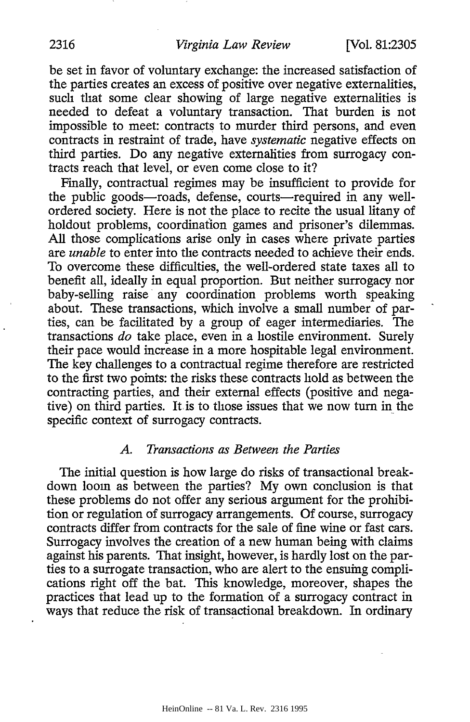be set in favor of voluntary exchange: the increased satisfaction of the parties creates an excess of positive over negative externalities, such that some clear showing of large negative externalities is needed to defeat a voluntary transaction. That burden is not impossible to meet: contracts to murder third persons, and even contracts in restraint of trade, have *systematic* negative effects on third parties. Do any negative externalities from surrogacy contracts reach that level, or even come close to it?

Finally, contractual regimes may be insufficient to provide for the public goods-roads, defense, courts-required in any wellordered society. Here is not the place to recite the usual litany of holdout problems, coordination games and prisoner's dilemmas. All those complications arise only in cases where private parties are *unable* to enter into the contracts needed to achieve their ends. To overcome these difficulties, the well-ordered state taxes all to benefit all, ideally in equal proportion. But neither surrogacy nor baby-selling raise any coordination problems worth speaking about. These transactions, which involve a small number of parties, can be facilitated by a group of eager intermediaries. The transactions *do* take place, even in a hostile environment. Surely their pace would increase in a more hospitable legal environment. The key challenges to a contractual regime therefore are restricted to the first two points: the risks these contracts hold as between the contracting parties, and their external effects (positive and negative) on third parties. It is to those issues that we now turn in the specific context of surrogacy contracts.

#### *A. Transactions as Between the Parties*

The initial question is how large do risks of transactional breakdown loom as between the parties? My own conclusion is that these problems do not offer any serious argument for the prohibition or regulation of surrogacy arrangements. Of course, surrogacy contracts differ from contracts for the sale of fine wine or fast cars. Surrogacy involves the creation of a new human being with claims against his parents. That insight, however, is hardly lost on the parties to a surrogate transaction, who are alert to the ensuing complications right off the bat. This knowledge, moreover, shapes the practices that lead up to the formation of a surrogacy contract in ways that reduce the risk of transactional breakdown. In ordinary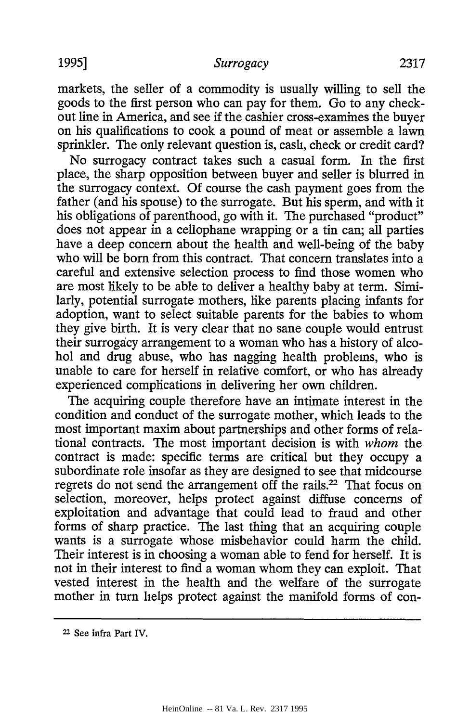markets, the seller of a commodity is usually willing to sell the goods to the first person who can pay for them. Go to any checkout line in America, and see if the cashier cross-examines the buyer on his qualifications to cook a pound of meat or assemble a lawn sprinkler. The only relevant question is, cash, check or credit card?

No surrogacy contract takes such a casual form. In the first place, the sharp opposition between buyer and seller is blurred in the surrogacy context. Of course the cash payment goes from the father (and his spouse) to the surrogate. But his sperm, and with it his obligations of parenthood, go with it. The purchased "product" does not appear in a cellophane wrapping or a tin can; all parties have a deep concern about the health and well-being of the baby who will be born from this contract. That concern translates into a careful and extensive selection process to find those women who are most likely to be able to deliver a healthy baby at term. Similarly, potential surrogate mothers, like parents placing infants for adoption, want to select suitable parents for the babies to whom they give birth. It is very clear that no sane couple would entrust their surrogacy arrangement to a woman who has a history of alcohol and drug abuse, who has nagging health problems, who is unable to care for herself in relative comfort, or who has already experienced complications in delivering her own children.

The acquiring couple therefore have an intimate interest in the condition and conduct of the surrogate mother, which leads to the most important maxim about partnerships and other forms of relational contracts. The most important decision is with *whom* the contract is made: specific terms are critical but they occupy a subordinate role insofar as they are designed to see that midcourse regrets do not send the arrangement off the rails.<sup>22</sup> That focus on selection, moreover, helps protect against diffuse concerns of exploitation and advantage that could lead to fraud and other forms of sharp practice. The last thing that an acquiring couple wants is a surrogate whose misbehavior could harm the child. Their interest is in choosing a woman able to fend for herself. It is not in their interest to find a woman whom they can exploit. That vested interest in the health and the welfare of the surrogate mother in turn helps protect against the manifold forms of con-

<sup>22</sup> See infra Part IV.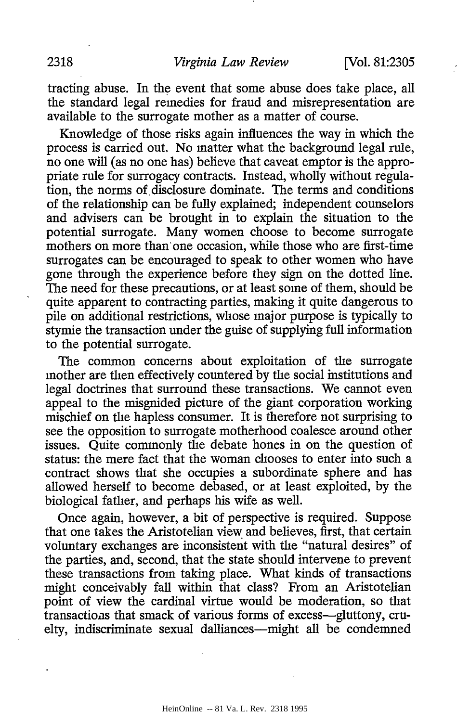tracting abuse. In the event that some abuse does take place, all the standard legal remedies for fraud and misrepresentation are available to the surrogate mother as a matter of course.

Knowledge of those risks again influences the way in which the process is carried out. No matter what the background legal rule, no one will (as no one has) believe that caveat emptor is the appropriate rule for surrogacy contracts. Instead, wholly without regulation, the norms of disclosure dominate. The terms and conditions of the relationship can be fully explained; independent counselors and advisers can be brought in to explain the situation to the potential surrogate. Many women choose to become surrogate mothers on more than one occasion, while those who are first-time surrogates can be encouraged to speak to other women who have gone through the experience before they sign on the dotted line. The need for these precautions, or at least some of them, should be quite apparent to contracting parties, making it quite dangerous to pile on additional restrictions, whose major purpose is typically to stymie the transaction under the guise of supplying full information to the potential surrogate.

The common concerns about exploitation of the surrogate mother are then effectively countered by the social institutions and legal doctrines that surround these transactions. We cannot even appeal to the misgnided picture of the giant corporation working mischief on the hapless consumer. It is therefore not surprising to see the opposition to surrogate motherhood coalesce around other issues. Quite commonly the debate hones in on the question of status: the mere fact that the woman chooses to enter into such a contract shows that she occupies a subordinate sphere and has allowed herself to become debased, or at least exploited, by the biological father, and perhaps his wife as well.

Once again, however, a bit of perspective is required. Suppose that one takes the Aristotelian view and believes, first, that certain voluntary exchanges are inconsistent with the "natural desires" of the parties, and, second, that the state should intervene to prevent these transactions from taking place. What kinds of transactions might conceivably fall within that class? From an Aristotelian point of view the cardinal virtue would be moderation, so that transactions that smack of various forms of excess-gluttony, cruelty, indiscriminate sexual dalliances—might all be condemned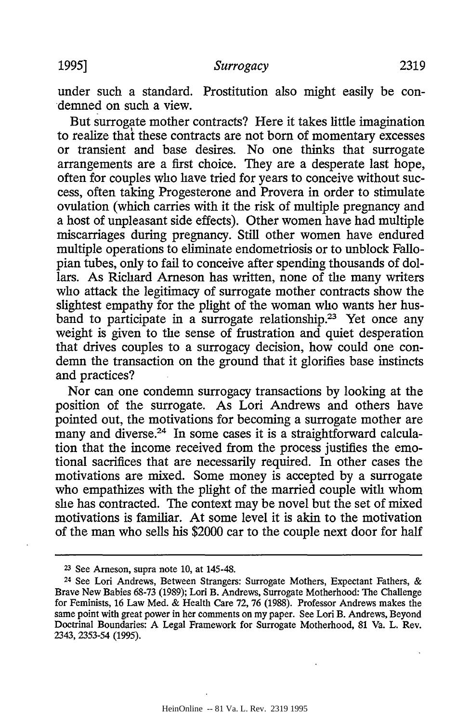under such a standard. Prostitution also might easily be condemned on such a view.

But surrogate mother contracts? Here it takes little imagination to realize that these contracts are not born of momentary excesses or transient and base desires. No one thinks that surrogate arrangements are a first choice. They are a desperate last hope, often for couples who have tried for years to conceive without success, often taking Progesterone and Provera in order to stimulate ovulation (which carries with it the risk of multiple pregnancy and a host of unpleasant side effects). Other women have had multiple miscarriages during pregnancy. Still other women have endured multiple operations to eliminate endometriosis or to unblock Fallopian tubes, only to fail to conceive after spending thousands of dollars. As Richard Arneson has written, none of the many writers who attack the legitimacy of surrogate mother contracts show the slightest empathy for the plight of the woman who wants her husband to participate in a surrogate relationship.<sup>23</sup> Yet once any weight is given to the sense of frustration and quiet desperation that drives couples to a surrogacy decision, how could one condemn the transaction on the ground that it glorifies base instincts and practices?

Nor can one condemn surrogacy transactions by looking at the position of the surrogate. As Lori Andrews and others have pointed out, the motivations for becoming a surrogate mother are many and diverse.<sup>24</sup> In some cases it is a straightforward calculation that the income received from the process justifies the emotional sacrifices that are necessarily required. In other cases the motivations are mixed. Some money is accepted by a surrogate who empathizes with the plight of the married couple with whom she has contracted. The context may be novel but the set of mixed motivations is familiar. At some level it is akin to the motivation of the man who sells his \$2000 car to the couple next door for half

**<sup>23</sup>**See Arneson, supra note **10,** at 145-48.

<sup>&</sup>lt;sup>24</sup> See Lori Andrews, Between Strangers: Surrogate Mothers, Expectant Fathers, & Brave New Babies 68-73 (1989); Lori B. Andrews, Surrogate Motherhood: The Challenge for Feminists, 16 Law Med. & Health Care 72, 76 (1988). Professor Andrews makes the same point with great power in her comments on my paper. See Lori B. Andrews, Beyond Doctrinal Boundaries: A Legal Framework for Surrogate Motherhood, 81 Va. L. Rev. 2343, 2353-54 (1995).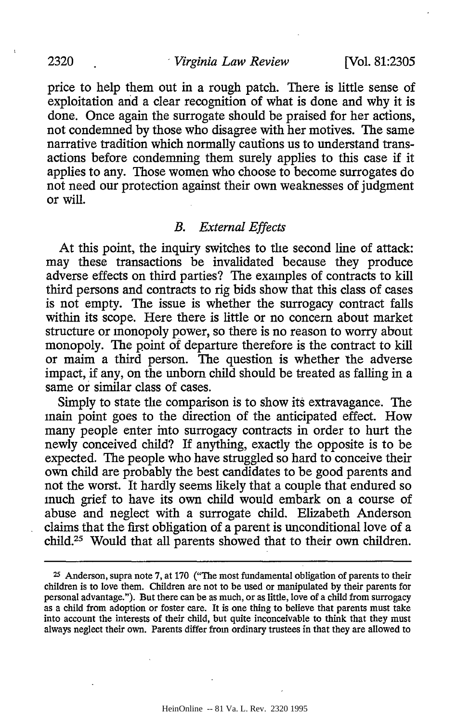price to help them out in a rough patch. There is little sense of exploitation and a clear recognition of what is done and why it is done. Once again the surrogate should be praised for her actions, not condemned by those who disagree with her motives. The same narrative tradition which normally cautions us to understand transactions before condemning them surely applies to this case if it applies to any. Those women who choose to become surrogates do not need our protection against their own weaknesses of judgment or will.

#### *B. External Effects*

At this point, the inquiry switches to the second line of attack: may these transactions be invalidated because they produce adverse effects on third parties? The examples of contracts to kill third persons and contracts to rig bids show that this class of cases is not empty. The issue is whether the surrogacy contract falls within its scope. Here there is little or no concern about market structure or monopoly power, so there is no reason to worry about monopoly. The point of departure therefore is the contract to kill or maim a third person. The question is whether the adverse impact, if any, on the unborn child should be treated as falling in a same or similar class of cases.

Simply to state the comparison is to show its extravagance. The main point goes to the direction of the anticipated effect. How many people enter into surrogacy contracts in order to hurt the newly conceived child? If anything, exactly the opposite is to be expected. The people who have struggled so hard to conceive their own child are probably the best candidates to be good parents and not the worst. It hardly seems likely that a couple that endured so much grief to have its own child would embark on a course of abuse and neglect with a surrogate child. Elizabeth Anderson claims that the first obligation of a parent is unconditional love of a child.<sup>25</sup> Would that all parents showed that to their own children.

<sup>2</sup>s Anderson, supra note 7, at 170 ("The most fundamental obligation of parents to their children is to love them. Children are not to be used or manipulated by their parents for personal advantage."). But there can be as much, or as little, love of a child from surrogacy as a child from adoption or foster care. It is one thing to believe that parents must take into account the interests of their child, but quite inconceivable to think that they must always neglect their own. Parents differ from ordinary trustees in that they are allowed to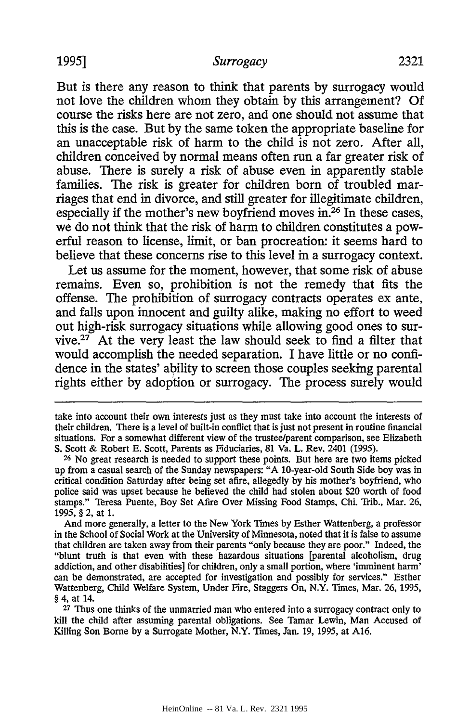But is there any reason to think that parents by surrogacy would not love the children whom they obtain by this arrangement? Of course the risks here are not zero, and one should not assume that this is the case. But by the same token the appropriate baseline for an unacceptable risk of harm to the child is not zero. After all, children conceived by normal means often run a far greater risk of abuse. There is surely a risk of abuse even in apparently stable families. The risk is greater for children born of troubled marriages that end in divorce, and still greater for illegitimate children, especially if the mother's new boyfriend moves in.26 In these cases, we do not think that the risk of harm to children constitutes a powerful reason to license, limit, or ban procreation: it seems hard to believe that these concerns rise to this level in a surrogacy context.

Let us assume for the moment, however, that some risk of abuse remains. Even so, prohibition is not the remedy that fits the offense. The prohibition of surrogacy contracts operates ex ante, and falls upon innocent and guilty alike, making no effort to weed out high-risk surrogacy situations while allowing good ones to survive.<sup>27</sup> At the very least the law should seek to find a filter that would accomplish the needed separation. I have little or no confidence in the states' ability to screen those couples seeking parental rights either by adoption or surrogacy. The process surely would

**<sup>27</sup>**Thus one thinks of the unmarried man who entered into a surrogacy contract only to kill the child after assuming parental obligations. See Tamar Lewin, Man Accused of Killing Son Borne by a Surrogate Mother, N.Y. Times, Jan. 19, 1995, at A16.

take into account their own interests just as they must take into account the interests of their children. There is a level of built-in conflict that is just not present in routine financial situations. For a somewhat different view of the trustee/parent comparison, see Elizabeth S. Scott & Robert E. Scott, Parents as Fiduciaries, 81 Va. L. Rev. 2401 (1995).

**<sup>26</sup>**No great research is needed to support these points. But here are two items picked up from a casual search of the Sunday newspapers: "A 10-year-old South Side boy was in critical condition Saturday after being set afire, allegedly by his mother's boyfriend, who police said was upset because he believed the child had stolen about \$20 worth of food stamps." Teresa Puente, Boy Set Afire Over Missing Food Stamps, Chi. Trib., Mar. 26, 1995, § 2, at 1.

And more generally, a letter to the New York Times by Esther Wattenberg, a professor in the School of Social Work at the University of Minnesota, noted that it is false to assume that children are taken away from their parents "only because they are poor." Indeed, the "blunt truth is that even with these hazardous situations [parental alcoholism, drug addiction, and other disabilities] for children, only a small portion, where 'imminent harm' can be demonstrated, are accepted for investigation and possibly for services." Esther Wattenberg, Child Welfare System, Under Fire, Staggers On, N.Y. Tmes, Mar. 26, 1995, § 4, at 14.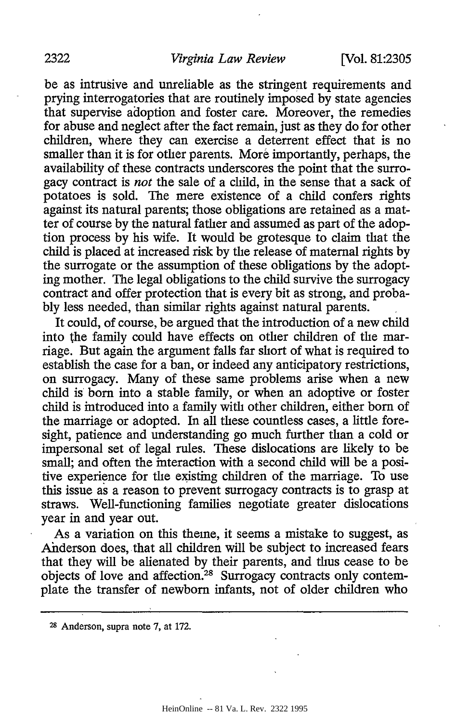be as intrusive and unreliable as the stringent requirements and prying interrogatories that are routinely imposed by state agencies that supervise adoption and foster care. Moreover, the remedies for abuse and neglect after the fact remain, just as they do for other children, where they can exercise a deterrent effect that is no smaller than it is for other parents. More importantly, perhaps, the availability of these contracts underscores the point that the surrogacy contract is *not* the sale of a child, in the sense that a sack of potatoes is sold. The mere existence of a child confers rights against its natural parents; those obligations are retained as a matter of course by the natural father and assumed as part of the adoption process by his wife. It would be grotesque to claim that the child is placed at increased risk by the release of maternal rights by the surrogate or the assumption of these obligations by the adopting mother. The legal obligations to the child survive the surrogacy contract and offer protection that is every bit as strong, and probably less needed, than similar rights against natural parents.

It could, of course, be argued that the introduction of a new child into the family could have effects on other children of the marriage. But again the argument falls far short of what is required to establish the case for a ban, or indeed any anticipatory restrictions, on surrogacy. Many of these same problems arise when a new child is born into a stable family, or when an adoptive or foster child is introduced into a family with other children, either born of the marriage or adopted. In all these countless cases, a little foresight, patience and understanding go much further than a cold or impersonal set of legal rules. These dislocations are likely to be small; and often the interaction with a second child will be a positive experience for the existing children of the marriage. To use this issue as a reason to prevent surrogacy contracts is to grasp at straws. Well-functioning families negotiate greater dislocations year in and year out.

As a variation on this theme, it seems a mistake to suggest, as Ahderson does, that all children will be subject to increased fears that they will be alienated by their parents, and thus cease to be objects of love and affection.<sup>28</sup> Surrogacy contracts only contemplate the transfer of newborn infants, not of older children who

**<sup>28</sup>**Anderson, supra note **7,** at 172.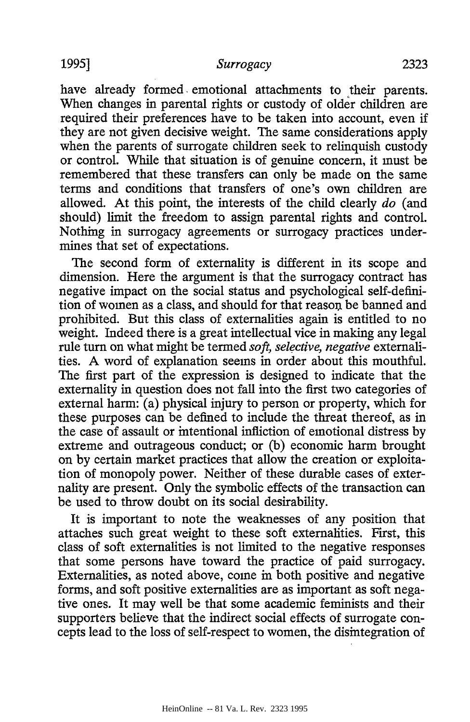have already formed, emotional attachments to their parents. When changes in parental rights or custody of older children are required their preferences have to be taken into account, even if they are not given decisive weight. The same considerations apply when the parents of surrogate children seek to relinquish custody or control. While that situation is of genuine concern, it must be remembered that these transfers can only be made on the same terms and conditions that transfers of one's own children are allowed. At this point, the interests of the child clearly *do* (and should) limit the freedom to assign parental rights and control. Nothing in surrogacy agreements or surrogacy practices undermines that set of expectations.

The second form of externality is different in its scope and dimension. Here the argument is that the surrogacy contract has negative impact on the social status and psychological self-definition of women as a class, and should for that reason be banned and prohibited. But this class of externalities again is entitled to no weight. Indeed there is a great intellectual vice in making any legal rule turn on what might be termed *soft, selective, negative* externalities. A word of explanation seems in order about this mouthful. The first part of the expression is designed to indicate that the externality in question does not fall into the first two categories of external harm: (a) physical injury to person or property, which for these purposes can be defined to include the threat thereof, as in the case of assault or intentional infliction of emotional distress by extreme and outrageous conduct; or (b) economic harm brought on by certain market practices that allow the creation or exploitation of monopoly power. Neither of these durable cases of externality are present. Only the symbolic effects of the transaction can be used to throw doubt on its social desirability.

It is important to note the weaknesses of any position that attaches such great weight to these soft externalities. First, this class of soft externalities is not limited to the negative responses that some persons have toward the practice of paid surrogacy. Externalities, as noted above, come in both positive and negative forms, and soft positive externalities are as important as soft negative ones. It may well be that some academic feminists and their supporters believe that the indirect social effects of surrogate concepts lead to the loss of self-respect to women, the disintegration of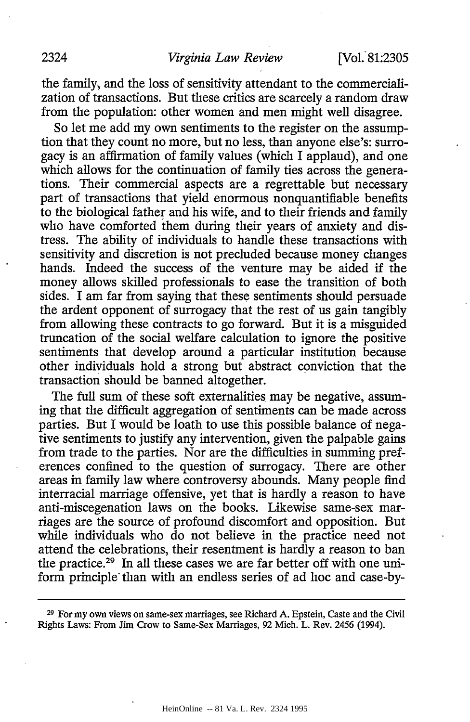the family, and the loss of sensitivity attendant to the commercialization of transactions. But these critics are scarcely a random draw from the population: other women and men might well disagree.

So let me add my own sentiments to the register on the assumption that they count no more, but no less, than anyone else's: surrogacy is an affirmation of family values (which I applaud), and one which allows for the continuation of family ties across the generations. Their commercial aspects are a regrettable but necessary part of transactions that yield enormous nonquantifiable benefits to the biological father and his wife, and to their friends and family who have comforted them during their years of anxiety and distress. The ability of individuals to handle these transactions with sensitivity and discretion is not precluded because money changes hands. Indeed the success of the venture may be aided if the money allows skilled professionals to ease the transition of both sides. I am far from saying that these sentiments should persuade the ardent opponent of surrogacy that the rest of us gain tangibly from allowing these contracts to go forward. But it is a misguided truncation of the social welfare calculation to ignore the positive sentiments that develop around a particular institution because other individuals hold a strong but abstract conviction that the transaction should be banned altogether.

The full sum of these soft externalities may be negative, assum*ing* that the difficult aggregation of sentiments can be made across parties. But I would be loath to use this possible balance of negative sentiments to justify any intervention, given the palpable gains from trade to the parties. Nor are the difficulties in summing preferences confined to the question of surrogacy. There are other areas in family law where controversy abounds. Many people find interracial marriage offensive, yet that is hardly a reason to have anti-miscegenation laws on the books. Likewise same-sex marriages are the source of profound discomfort and opposition. But while individuals who do not believe in the practice need not attend the celebrations, their resentment is hardly a reason to ban the practice.<sup>29</sup> In all these cases we are far better off with one umform principle than with an endless series of ad hoc and case-by-

 $29$  For my own views on same-sex marriages, see Richard A. Epstein, Caste and the Civil Rights Laws: From Jim Crow to Same-Sex Marriages, 92 Mich. L. Rev. 2456 (1994).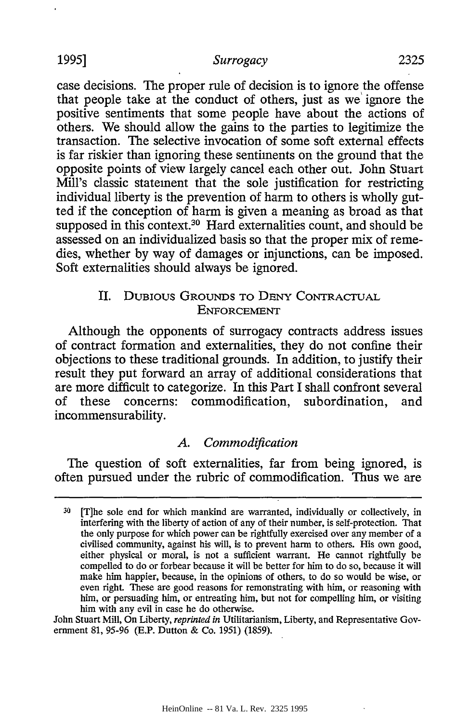case decisions. The proper rule of decision is to ignore the offense that people take at the conduct of others, just as we ignore the positive sentiments that some people have about the actions of others. We should allow the gains to the parties to legitimize the transaction. The selective invocation of some soft external effects is far riskier than ignoring these sentiments on the ground that the opposite points of view largely cancel each other out. John Stuart Mill's classic statement that the sole justification for restricting individual liberty is the prevention of harm to others is wholly gutted if the conception of harm is given a meaning as broad as that supposed in this context.<sup>30</sup> Hard externalities count, and should be assessed on an individualized basis so that the proper mix of remedies, whether by way of damages or injunctions, can be imposed. Soft externalities should always be ignored.

# II. DUBIOUS GROUNDS TO **DENY CONTRACTUAL** ENFORCEMENT

Although the opponents of surrogacy contracts address issues of contract formation and externalities, they do not confine their objections to these traditional grounds. In addition, to justify their result they put forward an array of additional considerations that are more difficult to categorize. In this Part I shall confront several of these concerns: commodification, subordination, and incommensurability.

# *A. Commodification*

The question of soft externalities, far from being ignored, is often pursued under the rubric of commodification. Thus we are

John Stuart Mill, On Liberty, *reprinted in* Utilitarianism, Liberty, and Representative Government 81, **95-96** (E.P. Dutton & Co. **1951)** (1859).

**<sup>30</sup>**[T]he sole end for which mankind are warranted, individually or collectively, in interfering with the liberty of action of any of their number, is self-protection. That the only purpose for which power can be rightfully exercised over any member of a civilised community, against his will, is to prevent harm to others. His own good, either physical or moral, is not a sufficient warrant. He cannot rightfully be compelled to do or forbear because it will be better for him to do so, because it will make him happier, because, in the opinions of others, to do so would be wise, or even right. These are good reasons for remonstrating with him, or reasoning with him, or persuading him, or entreating him, but not for compelling him, or visiting him with any evil in case he do otherwise.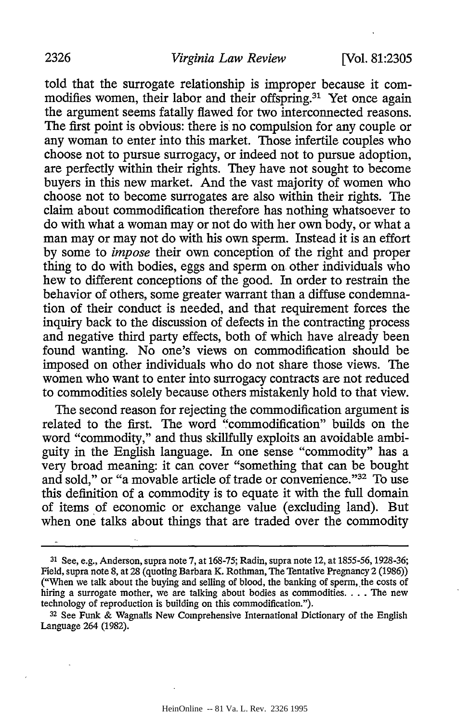told that the surrogate relationship is improper because it commodifies women, their labor and their offspring.<sup>31</sup> Yet once again the argument seems fatally flawed for two interconnected reasons. The first point is obvious: there is no compulsion for any couple or any woman to enter into this market. Those infertile couples who choose not to pursue surrogacy, or indeed not to pursue adoption, are perfectly within their rights. They have not sought to become buyers in this new market. And the vast majority of women who choose not to become surrogates are also within their rights. The claim about commodification therefore has nothing whatsoever to do with what a woman may or not do with her own body, or what a man may or may not do with his own sperm. Instead it is an effort by some to *impose* their own conception of the right and proper thing to do with bodies, eggs and sperm on other individuals who hew to different conceptions of the good. In order to restrain the behavior of others, some greater warrant than a diffuse condemnation of their conduct is needed, and that requirement forces the inquiry back to the discussion of defects in the contracting process and negative third party effects, both of which have already been found wanting. No one's views on commodification should be imposed on other individuals who do not share those views. The women who want to enter into surrogacy contracts are not reduced to commodities solely because others mistakenly hold to that view.

The second reason for rejecting the commodification argument is related to the first. The word "'commodification" builds on the word "commodity," and thus skillfully exploits an avoidable ambiguity in the English language. In one sense "commodity" has a very broad meaning: it can cover "something that can be bought and sold," or "a movable article of trade or convenience."<sup>32</sup> To use this definition of a commodity is to equate it with the full domain of items of economic or exchange value (excluding land). But when one talks about things that are traded over the commodity

**<sup>31</sup>**See, e.g., Anderson, supra note 7, at 168-75; Radin, supra note 12, at 1855-56, 1928-36; Field, supra note 8, at 28 (quoting Barbara K. Rothman, The Tentative Pregnancy 2 (1986)) ("When we talk about the buying and selling of blood, the banking of sperm, the costs of hiring a surrogate mother, we are talking about bodies as commodities.... The new technology of reproduction is building on this commodification.").

**<sup>32</sup>**See Funk & Wagnalls New Comprehensive International Dictionary of the English Language 264 (1982).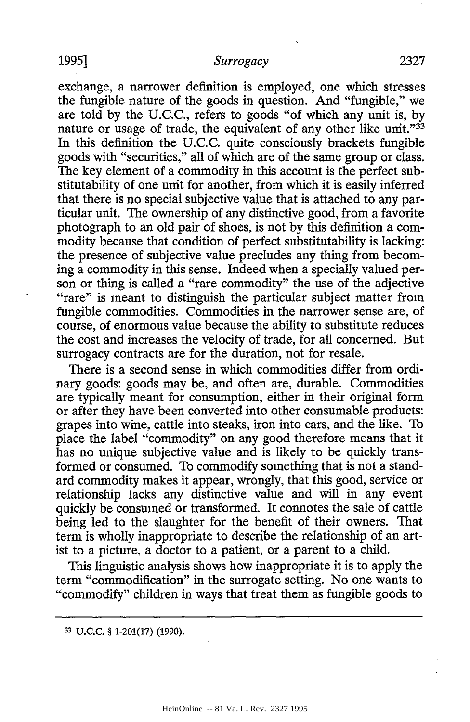exchange, a narrower definition is employed, one which stresses the fungible nature of the goods in question. And "fungible," we are told by the U.C.C., refers to goods "of which any unit is, by nature or usage of trade, the equivalent of any other like unit."<sup>33</sup> In this definition the U.C.C. quite consciously brackets fungible goods with "securities," all of which are of the same group or class. The key element of a commodity in this account is the perfect substitutability of one unit for another, from which it is easily inferred that there is no special subjective value that is attached to any particular unit. The ownership of any distinctive good, from a favorite photograph to an old pair of shoes, is not by this definition a commodity because that condition of perfect substitutability is lacking: the presence of subjective value precludes any thing from becoming a commodity in this sense. Indeed when a specially valued person or thing is called a "rare commodity" the use of the adjective "rare" is meant to distinguish the particular subject matter from fungible commodities. Commodities in the narrower sense are, of course, of enormous value because the ability to substitute reduces the cost and increases the velocity of trade, for all concerned. But surrogacy contracts are for the duration, not for resale.

There is a second sense in which commodities differ from ordinary goods: goods may be, and often are, durable. Commodities are typically meant for consumption, either in their original form or after they have been converted into other consumable products: grapes into wine, cattle into steaks, iron into cars, and the like. To place the label "commodity" on any good therefore means that it has no unique subjective value and is likely to be quickly transformed or consumed. To commodify something that is not a standard commodity makes it appear, wrongly, that this good, service or relationship lacks any distinctive value and will in any event quickly be consumed or transformed. It connotes the sale of cattle being led to the slaughter for the benefit of their owners. That term is wholly inappropriate to describe the relationship of an artist to a picture, a doctor to a patient, or a parent to a child.

This linguistic analysis shows how inappropriate it is to apply the term "commodification" in the surrogate setting. No one wants to "commodify" children in ways that treat them as fungible goods to

**<sup>33</sup>**U.C.C. § 1-201(17) (1990).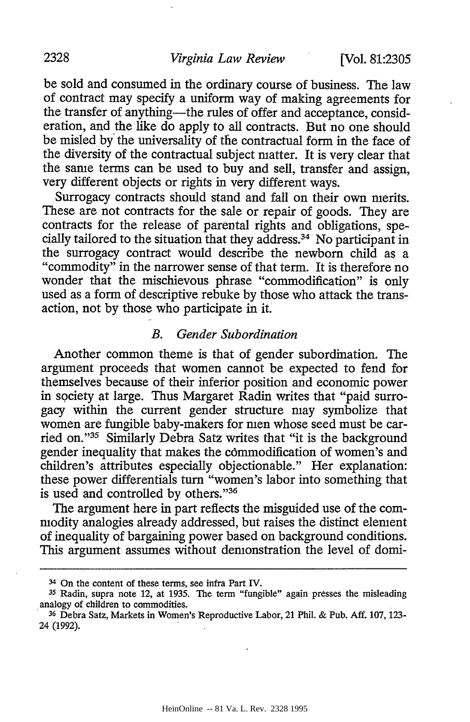be sold and consumed in the ordinary course of business. The law of contract may specify a uniform way of making agreements for the transfer of anything-the rules of offer and acceptance, consideration, and the like do apply to all contracts. But no one should be misled by' the universality of the contractual form in the face of the diversity of the contractual subject matter. It is very clear that the same terms can be used to buy and sell, transfer and assign, very different objects or rights in very different ways.

Surrogacy contracts should stand and fall on their own merits. These are not contracts for the sale or repair of goods. They are contracts for the release of parental rights and obligations, specially tailored to the situation that they address. 34 No participant in the surrogacy contract would describe the newborn child as a "commodity" in the narrower sense of that term. It is therefore no wonder that the mischievous phrase "commodification" is only used as a form of descriptive rebuke by those who attack the transaction, not by those who participate in it.

# *B. Gender Subordination*

Another common theme is that of gender subordination. The argument proceeds that women cannot be expected to fend for themselves because of their inferior position and economic power in society at large. Thus Margaret Radin writes that "paid surrogacy within the current gender structure may symbolize that women are fungible baby-makers for men whose seed must be carried on."35 Similarly Debra Satz writes that "it is the background gender inequality that makes the commodification of women's and children's attributes especially objectionable." Her explanation: these power differentials turn "women's labor into something that is used and controlled by others."36

The argument here in part reflects the misguided use of the commodity analogies already addressed, but raises the distinct element of inequality of bargaining power based on background conditions. This argument assumes without demonstration the level of domi-

<sup>34</sup>On the content of these terms, see infra Part IV.

<sup>35</sup>Radin, supra note 12, at 1935. The term "fungible" again presses the misleading analogy of children to commodities.

<sup>&</sup>lt;sup>36</sup> Debra Satz, Markets in Women's Reproductive Labor, 21 Phil. & Pub. Aff. 107, 123-24 (1992).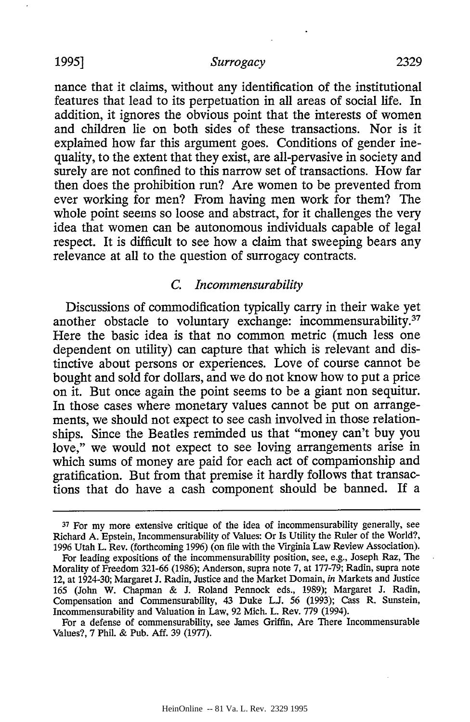nance that it claims, without any identification of the institutional features that lead to its perpetuation in all areas of social life. In addition, it ignores the obvious point that the interests of women and children lie on both sides of these transactions. Nor is it explained how far this argument goes. Conditions of gender inequality, to the extent that they exist, are all-pervasive in society and surely are not confined to this narrow set of transactions. How far then does the prohibition run? Are women to be prevented from ever working for men? From having men work for them? The whole point seems so loose and abstract, for it challenges the very idea that women can be autonomous individuals capable of legal respect. It is difficult to see how a claim that sweeping bears any relevance at all to the question of surrogacy contracts.

#### *C. Incommensurability*

Discussions of commodification typically carry in their wake yet another obstacle to voluntary exchange: incommensurability.<sup>37</sup> Here the basic idea is that no common metric (much less one dependent on utility) can capture that which is relevant and distinctive about persons or experiences. Love of course cannot be bought and sold for dollars, and we do not know how to put a price on it. But once again the point seems to be a giant non sequitur. In those cases where monetary values cannot be put on arrangements, we should not expect to see cash involved in those relationships. Since the Beatles reminded us that "money can't buy you love," we would not expect to see loving arrangements arise in which sums of money are paid for each act of companionship and gratification. But from that premise it hardly follows that transactions that do have a cash component should be banned. If a

**<sup>37</sup>**For my more extensive critique of the idea of incommensurability generally, see Richard A. Epstein, Incommensurability of Values: Or Is Utility the Ruler of the World?, 1996 Utah L. Rev. (forthcoming 1996) (on file with the Virginia Law Review Association).

For leading expositions of the incommensurability position, see, e.g., Joseph Raz, The Morality of Freedom 321-66 (1986); Anderson, supra note 7, at 177-79; Radin, supra note 12, at 1924-30; Margaret J. Radin, Justice and the Market Domain, *in* Markets and Justice 165 (John W. Chapman & J. Roland Pennock eds., 1989); Margaret J. Radin, Compensation and Commensurability, 43 Duke L.J. 56 (1993); Cass R. Sunstein, Incommensurability and Valuation in Law, 92 Mich. L. Rev. 779 (1994).

For a defense of commensurability, see James Griffin, Are There Incommensurable Values?, 7 Phil. & Pub. Aff. 39 (1977).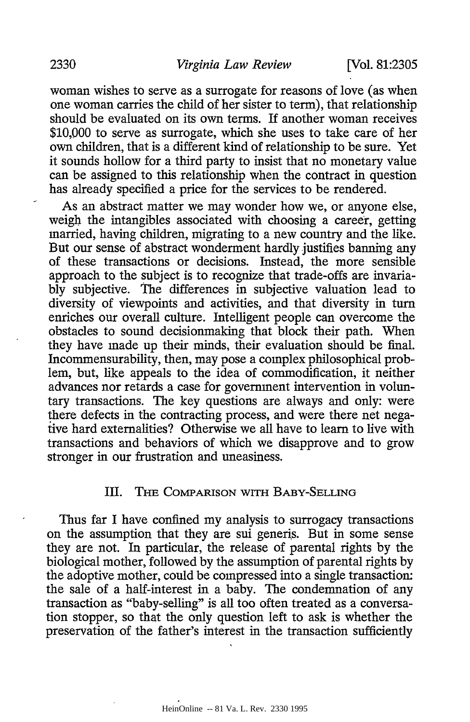woman wishes to serve as a surrogate for reasons of love (as when one woman carries the child of her sister to term), that relationship should be evaluated on its own terms. If another woman receives \$10,000 to serve as surrogate, which she uses to take care of her own children, that is a different kind of relationship to be sure. Yet it sounds hollow for a third party to insist that no monetary value can be assigned to this relationship when the contract in question has already specified a price for the services to be rendered.

As an abstract matter we may wonder how we, or anyone else, weigh the intangibles associated with choosing a career, getting married, having children, migrating to a new country and the like. But our sense of abstract wonderment hardly justifies banning any of these transactions or decisions. Instead, the more sensible approach to the subject is to recognize that trade-offs are invariably subjective. The differences in subjective valuation lead to diversity of viewpoints and activities, and that diversity in turn enriches our overall culture. Intelligent people can overcome the obstacles to sound decisionmaking that block their path. When they have made up their minds, their evaluation should be final. Incommensurability, then, may pose a complex philosophical problem, but, like appeals to the idea of commodification, it neither advances nor retards a case for government intervention in voluntary transactions. The key questions are always and only: were there defects in the contracting process, and were there net negative hard externalities? Otherwise we all have to learn to live with transactions and behaviors of which we disapprove and to grow stronger in our frustration and uneasiness.

# III. THE COMPARISON WITH BABY-SELLING

Thus far I have confined my analysis to surrogacy transactions on the assumption that they are sui generis. But in some sense they are not. In particular, the release of parental rights by the biological mother, followed by the assumption of parental rights by the adoptive mother, could be compressed into a single transaction; the sale of a half-interest in a baby. The condemnation of any transaction as "baby-selling" is all too often treated as a conversation stopper, so that the only question left to ask is whether the preservation of the father's interest in the transaction sufficiently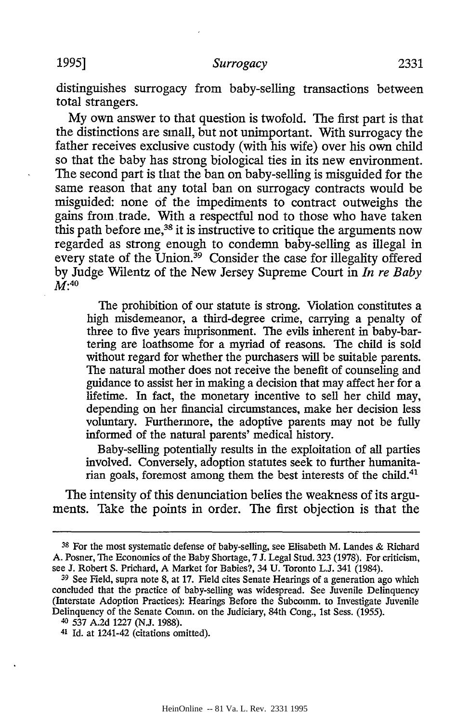distinguishes surrogacy from baby-selling transactions between total strangers.

My own answer to that question is twofold. The first part is that the distinctions are small, but not unimportant. With surrogacy the father receives exclusive custody (with his wife) over his own child so that the baby has strong biological ties in its new environment. The second part is that the ban on baby-selling is misguided for the same reason that any total ban on surrogacy contracts would be misguided: none of the impediments to contract outweighs the gains from, trade. With a respectful nod to those who have taken this path before  $me<sub>1</sub>$ <sup>38</sup> it is instructive to critique the arguments now regarded as strong enough to condemn baby-selling as illegal in every state of the Union.<sup>39</sup> Consider the case for illegality offered by Judge Wilentz of the New Jersey Supreme Court in *In re Baby*  $\check{M}^{.40}_{.}$ 

The prohibition of our statute is strong. Violation constitutes a high misdemeanor, a third-degree crime, carrying a penalty of three to five years imprisonment. The evils inherent in baby-bartering are loathsome for a myriad of reasons. The child is sold without regard for whether the purchasers will be suitable parents. The natural mother does not receive the benefit of counseling and guidance to assist her in making a decision that may affect her for a lifetime. In fact, the monetary incentive to sell her child may, depending on her financial circumstances, make her decision less voluntary. Furthermore, the adoptive parents may not be fully informed of the natural parents' medical history.

Baby-selling potentially results in the exploitation of all parties involved. Conversely, adoption statutes seek to further humanitarian goals, foremost among them the best interests of the child.<sup>41</sup>

The intensity of this denunciation belies the weakness of its arguments. Take the points in order. The first objection is that the

**<sup>38</sup>**For the most systematic defense of baby-selling, see Elisabeth M. Landes & Richard A. Posner, The Economics of the Baby Shortage, 7 J. Legal Stud. 323 (1978). For criticism, see J. Robert S. Prichard, A Market for Babies?, 34 U. Toronto L.J. 341 (1984).

**<sup>39</sup>**See Field, supra note 8, at 17. Field cites Senate Hearings of a generation ago which concluded that the practice of baby-selling was widespread. See Juvenile Delinquency (Interstate Adoption Practices): Hearings Before the Subcomm. to Investigate Juvenile Delinquency of the Senate Comm. on the Judiciary, 84th Cong., 1st Sess. (1955).

<sup>40 537</sup> A.2d 1227 (N.J. 1988).

 $41$  Id. at 1241-42 (citations omitted).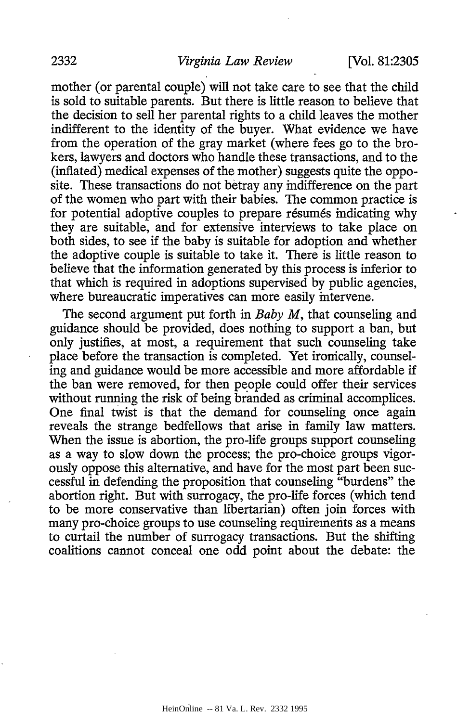mother (or parental couple) will not take care to see that the child is sold to suitable parents. But there is little reason to believe that the decision to sell her parental rights to a child leaves the mother indifferent to the identity of the buyer. What evidence we have from the operation of the gray market (where fees go to the brokers, lawyers and doctors who handle these transactions, and to the (inflated) medical expenses of the mother) suggests quite the opposite. These transactions do not betray any indifference on the part of the women who part with their babies. The common practice is for potential adoptive couples to prepare résumés indicating why they are suitable, and for extensive interviews to take place on both sides, to see if the baby is suitable for adoption and whether the adoptive couple is suitable to take it. There is little reason to believe that the information generated by this process is inferior to that which is required in adoptions supervised by public agencies, where bureaucratic imperatives can more easily intervene.

The second argument put forth in *Baby M,* that counseling and guidance should be provided, does nothing to support a ban, but only justifies, at most, a requirement that such counseling take place before the transaction is completed. Yet ironically, counseling and guidance would be more accessible and more affordable if the ban were removed, for then people could offer their services without running the risk of being branded as criminal accomplices. One final twist is that the demand for counseling once again reveals the strange bedfellows that arise in family law matters. When the issue is abortion, the pro-life groups support counseling as a way to slow down the process; the pro-choice groups vigorously oppose this alternative, and have for the most part been successful in defending the proposition that counseling "burdens" the abortion right. But with surrogacy, the pro-life forces (which tend to be more conservative than libertarian) often join forces with many pro-choice groups to use counseling requirements as a means to curtail the number of surrogacy transactions. But the shifting coalitions cannot conceal one odd point about the debate: the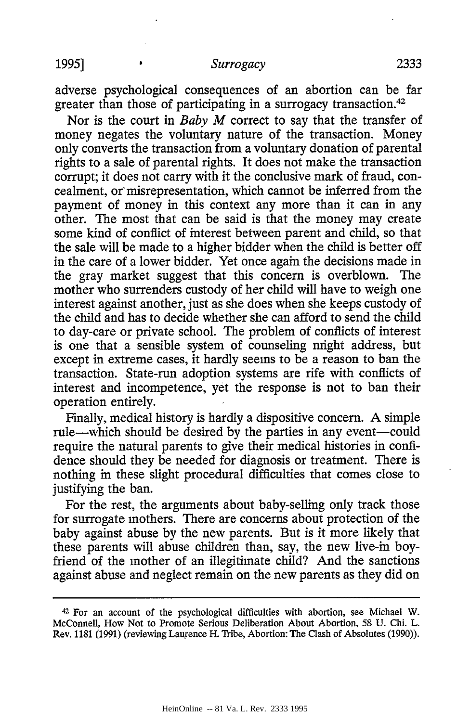adverse psychological consequences of an abortion can be far greater than those of participating in a surrogacy transaction.<sup>42</sup>

Nor is the court in *Baby M* correct to say that the transfer of money negates the voluntary nature of the transaction. Money only converts the transaction from a voluntary donation of parental rights to a sale of parental rights. It does not make the transaction corrupt; it does not carry with it the conclusive mark of fraud, concealment, or misrepresentation, which cannot be inferred from the payment of money in this context any more than it can in any other. The most that can be said is that the money may create some kind of conflict of interest between parent and child, so that the sale will be made to a higher bidder when the child is better off in the care of a lower bidder. Yet once again the decisions made in the gray market suggest that this concern is overblown. The mother who surrenders custody of her child will have to weigh one interest against another, just as she does when she keeps custody of the child and has to decide whether she can afford to send the child to day-care or private school. The problem of conflicts of interest is one that a sensible system of counseling might address, but except in extreme cases, it hardly seems to be a reason to ban the transaction. State-run adoption systems are rife with conflicts of interest and incompetence, yet the response is not to ban their operation entirely.

Finally, medical history is hardly a dispositive concern. A simple rule—which should be desired by the parties in any event—could require the natural parents to give their medical histories in confidence should they be needed for diagnosis or treatment. There is nothing in these slight procedural difficulties that comes close to justifying the ban.

For the rest, the arguments about baby-selling only track those for surrogate mothers. There are concerns about protection of the baby against abuse by the new parents. But is it more likely that these parents will abuse children than, say, the new live-in boyfriend of the mother of an illegitimate child? And the sanctions against abuse and neglect remain on the new parents as they did on

<sup>42</sup>For an account of the psychological difficulties with abortion, see Michael W. McConnell, How Not to Promote Serious Deliberation About Abortion, **58** U. Chi. L. Rev. 1181 (1991) (reviewing Laurence H. Tribe, Abortion: The Clash of Absolutes (1990)).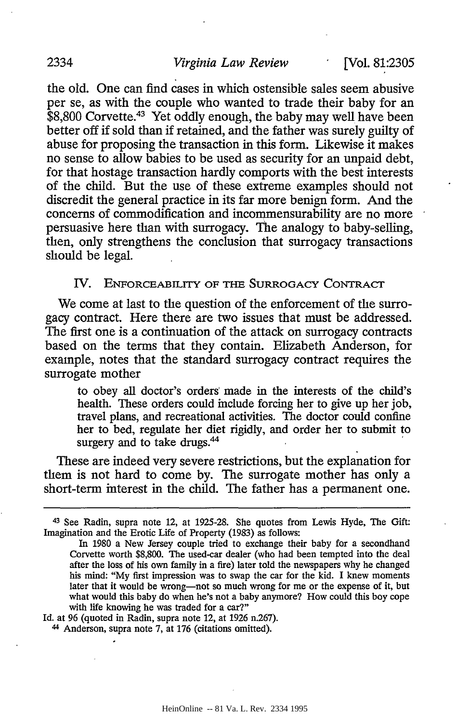the old. One can find cases in which ostensible sales seem abusive per se, as with the couple who wanted to trade their baby for an \$8,800 Corvette.<sup>43</sup> Yet oddly enough, the baby may well have been better off if sold than if retained, and the father was surely guilty of abuse for proposing the transaction in this form. Likewise it makes no sense to allow babies to be used as security for an unpaid debt, for that hostage transaction hardly comports with the best interests of the child. But the use of these extreme examples should not discredit the general practice in its far more benign form. And the concerns of commodification and incommensurability are no more persuasive here than with surrogacy. The analogy to baby-selling, then, only strengthens the conclusion that surrogacy transactions should be legal.

#### IV. ENFORCEABILrTY OF THE SURROGACY CONTRACT

We come at last to the question of the enforcement of the surrogacy contract. Here there are two issues that must be addressed. The first one is a continuation of the attack on surrogacy contracts based on the terms that they contain. Elizabeth Anderson, for example, notes that the standard surrogacy contract requires the surrogate mother

to obey all doctor's orders' made in the interests of the child's health. These orders could include forcing her to give up her job, travel plans, and recreational activities. The doctor could confine her to bed, regulate her diet rigidly, and order her to submit to surgery and to take drugs.<sup>44</sup>

These are indeed very severe restrictions, but the explanation for them is not hard to come by. The surrogate mother has only a short-term interest in the child. The father has a permanent one.

Id. at 96 (quoted in Radin, supra note 12, at 1926 n.267).

44 Anderson, supra note 7, at 176 (citations omitted).

<sup>&</sup>lt;sup>43</sup> See Radin, supra note 12, at 1925-28. She quotes from Lewis Hyde, The Gift: Imagination and the Erotic Life of Property (1983) as follows:

In 1980 a New Jersey couple tried to exchange their baby for a secondhand Corvette worth \$8,800. The used-car dealer (who had been tempted into the deal after the loss of his own family in a fire) later told the newspapers why he changed his mind: "My first impression was to swap the car for the kid. I knew moments later that it would be wrong-not so much wrong for me or the expense of it, but what would this baby do when he's not a baby anymore? How could this boy cope with life knowing he was traded for a car?"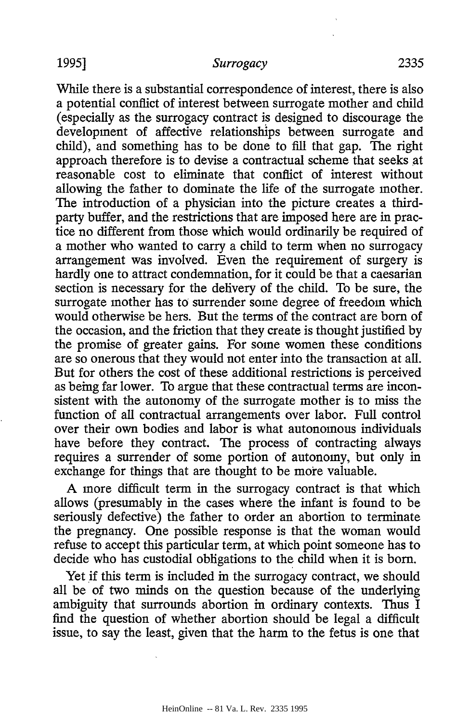While there is a substantial correspondence of interest, there is also a potential conflict of interest between surrogate mother and child (especially as the surrogacy contract is designed to discourage the development of affective relationships between surrogate and child), and something has to be done to fill that gap. The right approach therefore is to devise a contractual scheme that seeks at reasonable cost to eliminate that conflict of interest without allowing the father to dominate the life of the surrogate mother. The introduction of a physician into the picture creates a thirdparty buffer, and the restrictions that are imposed here are in practice no different from those which would ordinarily be required of a mother who wanted to carry a child to term when no surrogacy arrangement was involved. Even the requirement of surgery is hardly one to attract condemnation, for it could be that a caesarian section is necessary for the delivery of the child. To be sure, the surrogate mother has to surrender some degree of freedom which would otherwise be hers. But the terms of the contract are born of the occasion, and the friction that they create is thought justified by the promise of greater gains. For some women these conditions are so onerous that they would not enter into the transaction at all. But for others the cost of these additional restrictions is perceived as being far lower. To argue that these contractual terms are inconsistent with the autonomy of the surrogate mother is to miss the function of all contractual arrangements over labor. Full control over their own bodies and labor is what autonomous individuals have before they contract. The process of contracting always requires a surrender of some portion of autonomy, but only in exchange for things that are thought to be more valuable.

A more difficult term in the surrogacy contract is that which allows (presumably in the cases where the infant is found to be seriously defective) the father to order an abortion to terminate the pregnancy. One possible response is that the woman would refuse to accept this particular term, at which point someone has to decide who has custodial obligations to the child when it is born.

Yet if this term is included in the surrogacy contract, we should all be of two minds on the question because of the underlying ambiguity that surrounds abortion in ordinary contexts. Thus I find the question of whether abortion should be legal a difficult issue, to say the least, given that the harm to the fetus is one that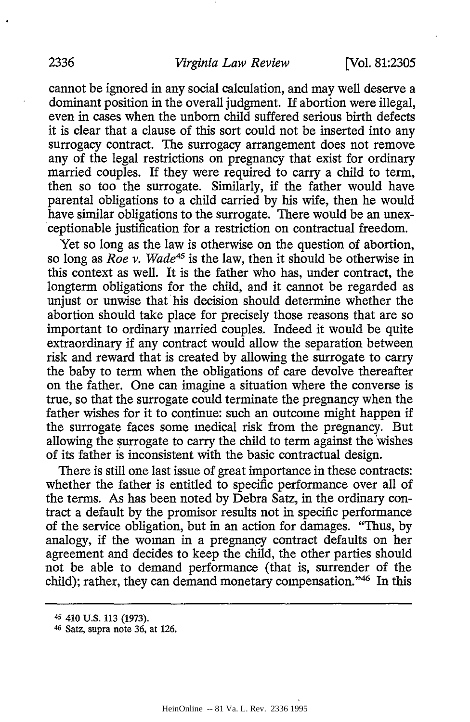cannot be ignored in any social calculation, and may well deserve a dominant position in the overall judgment. If abortion were illegal, even in cases when the unborn child suffered serious birth defects it is clear that a clause of this sort could not be inserted into any surrogacy contract. The surrogacy arrangement does not remove any of the legal restrictions on pregnancy that exist for ordinary married couples. If they were required to carry a child to term, then so too the surrogate. Similarly, if the father would have parental obligations to a child carried by his wife, then he would have similar obligations to the surrogate. There would be an unexceptionable justification for a restriction on contractual freedom.

Yet so long as the law is otherwise on the question of abortion, so long as *Roe v. Wade45* is the law, then it should be otherwise in this context as well. It is the father who has, under contract, the longterm obligations for the child, and it cannot be regarded as unjust or unwise that his decision should determine whether the abortion should take place for precisely those reasons that are so important to ordinary married couples. Indeed it would be quite extraordinary if any contract would allow the separation between risk and reward that is created by allowing the surrogate to carry the baby to term when the obligations of care devolve thereafter on the father. One can imagine a situation where the converse is true, so that the surrogate could terminate the pregnancy when the father wishes for it to continue: such an outcome might happen if the surrogate faces some medical risk from the pregnancy. But allowing the surrogate to carry the child to term against the wishes of its father is inconsistent with the basic contractual design.

There is still one last issue of great importance in these contracts: whether the father is entitled to specific performance over all of the terms. As has been noted by Debra Satz, in the ordinary contract a default by the promisor results not in specific performance of the service obligation, but in an action for damages. "Thus, by analogy, if the woman in a pregnancy contract defaults on her agreement and decides to keep the child, the other parties should not be able to demand performance (that is, surrender of the child); rather, they can demand monetary compensation."<sup>46</sup> In this

<sup>45</sup>410 U.S. 113 (1973).

<sup>46</sup>Satz, supra note 36, at 126.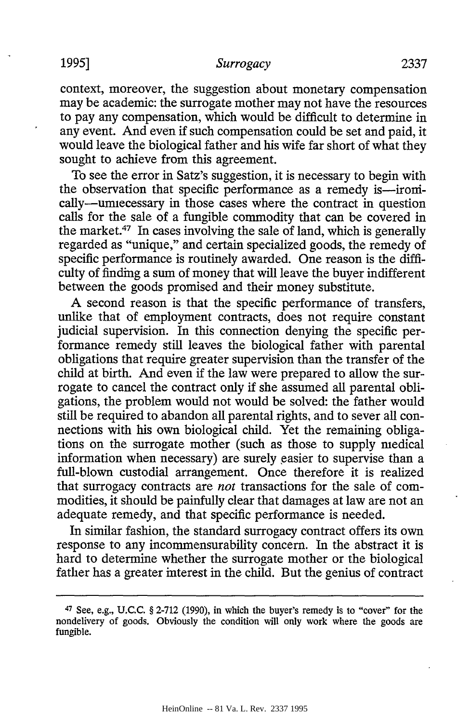context, moreover, the suggestion about monetary compensation may be academic: the surrogate mother may not have the resources to pay any compensation, which would be difficult to determine in any event. And even if such compensation could be set and paid, it would leave the biological father and his wife far short of what they sought to achieve from this agreement.

To see the error in Satz's suggestion, it is necessary to begin with the observation that specific performance as a remedy is—iromcally-unnecessary in those cases where the contract in question calls for the sale of a fungible commodity that can be covered in the market.47 In cases involving the sale of land, which is generally regarded as "unique," and certain specialized goods, the remedy of specific performance is routinely awarded. One reason is the difficulty of finding a sum of money that will leave the buyer indifferent between the goods promised and their money substitute.

A second reason is that the specific performance of transfers, unlike that of employment contracts, does not require constant judicial supervision. In this connection denying the specific performance remedy still leaves the biological father with parental obligations that require greater supervision than the transfer of the child at birth. And even if the law were prepared to allow the surrogate to cancel the contract only if she assumed all parental obligations, the problem would not would be solved: the father would still be required to abandon all parental rights, and to sever all connections with his own biological child. Yet the remaining obligations on the surrogate mother (such as those to supply medical information when necessary) are surely easier to supervise than a full-blown custodial arrangement. Once therefore it is realized that surrogacy contracts are *not* transactions for the sale of commodities, it should be painfully clear that damages at law are not an adequate remedy, and that specific performance is needed.

In similar fashion, the standard surrogacy contract offers its own response to any incommensurability concern. In the abstract it is hard to determine whether the surrogate mother or the biological father has a greater interest in the child. But the genius of contract

<sup>&</sup>lt;sup>47</sup> See, e.g., U.C.C. § 2-712 (1990), in which the buyer's remedy is to "cover" for the nondelivery of goods. Obviously the condition will only work where the goods are fungible.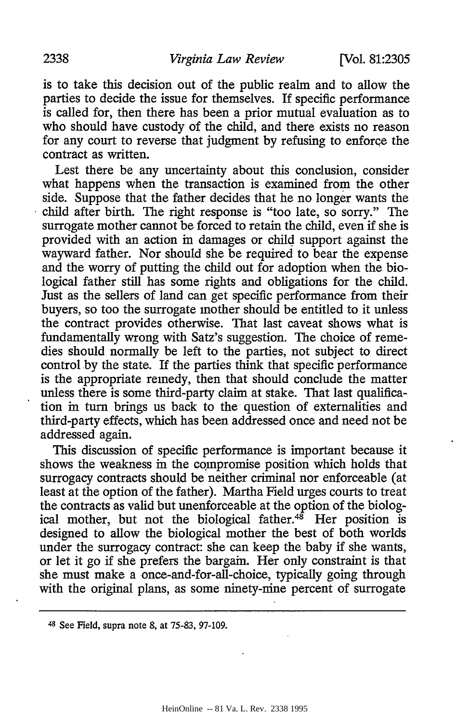is to take this decision out of the public realm and to allow the parties to decide the issue for themselves. If specific performance is called for, then there has been a prior mutual evaluation as to who should have custody of the child, and there exists no reason for any court to reverse that judgment by refusing to enforce the contract as written.

Lest there be any uncertainty about this conclusion, consider what happens when the transaction is examined from the other side. Suppose that the father decides that he no longer wants the child after birth. The right response is "too late, so sorry." The surrogate mother cannot be forced to retain the child, even if she is provided with an action in damages or child support against the wayward father. Nor should she be required to bear the expense and the worry of putting the child out for adoption when the biological father still has some rights and obligations for the child. Just as the sellers of land can get specific performance from their buyers, so too the surrogate mother should be entitled to it unless the contract provides otherwise. That last caveat shows what is fundamentally wrong with Satz's suggestion. The choice of remedies should normally be left to the parties, not subject to direct control by the state. If the parties think that specific performance is the appropriate remedy, then that should conclude the matter unless there is some third-party claim at stake. That last qualification in turn brings us back to the question of externalities and third-party effects, which has been addressed once and need not be addressed again.

This discussion of specific performance is important because it shows the weakness in the compromise position which holds that surrogacy contracts should be neither criminal nor enforceable (at least at the option of the father). Martha Field urges courts to treat the contracts as valid but unenforceable at the option of the biological mother, but not the biological father. $48$  Her position is designed to allow the biological mother the best of both worlds under the surrogacy contract: she can keep the baby if she wants, or let it go if she prefers the bargain. Her only constraint is that she must make a once-and-for-all-choice, typically going through with the original plans, as some ninety-nine percent of surrogate

<sup>48</sup> See Field, supra note 8, at 75-83, 97-109.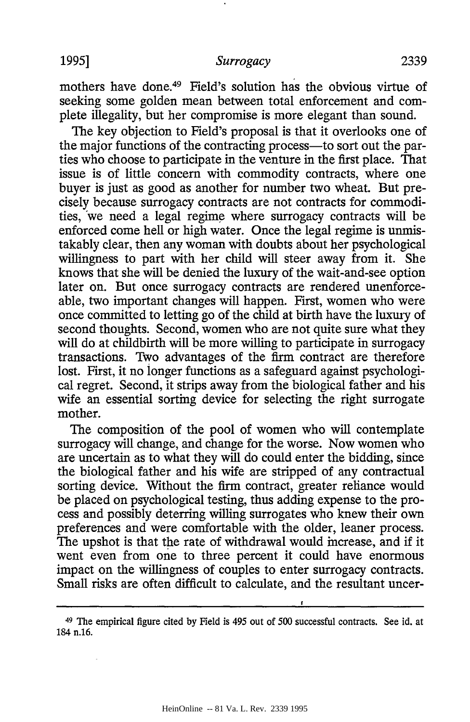mothers have done.<sup>49</sup> Field's solution has the obvious virtue of seeking some golden mean between total enforcement and complete illegality, but her compromise is more elegant than sound.

The key objection to Field's proposal is that it overlooks one of the major functions of the contracting process—to sort out the parties who choose to participate in the venture in the first place. That issue is of little concern with commodity contracts, where one buyer is just as good as another for number two wheat. But precisely because surrogacy contracts are not contracts for commodities, 'we need a legal regime where surrogacy contracts will be enforced come hell or high water. Once the legal regime is unmistakably clear, then any woman with doubts about her psychological willingness to part with her child will steer away from it. She knows that she will be denied the luxury of the wait-and-see option later on. But once surrogacy contracts are rendered unenforceable, two important changes will happen. First, women who were once committed to letting go of the child at birth have the luxury of second thoughts. Second, women who are not quite sure what they will do at childbirth will be more willing to participate in surrogacy transactions. Two advantages of the firm contract are therefore lost. First, it no longer functions as a safeguard against psychological regret. Second, it strips away from the biological father and his wife an essential sorting device for selecting the right surrogate mother.

The composition of the pool of women who will contemplate surrogacy will change, and change for the worse. Now women who are uncertain as to what they will do could enter the bidding, since the biological father and his wife are stripped of any contractual sorting device. Without the firm contract, greater reliance would be placed on psychological testing, thus adding expense to the process and possibly deterring willing surrogates who knew their own preferences and were comfortable with the older, leaner process. The upshot is that the rate of withdrawal would increase, and if it went even from one to three percent it could have enormous impact on the willingness of couples to enter surrogacy contracts. Small risks are often difficult to calculate, and the resultant uncer-

<sup>49</sup> The empirical figure cited by Field is 495 out of 500 successful contracts. See id. at 184 n.16.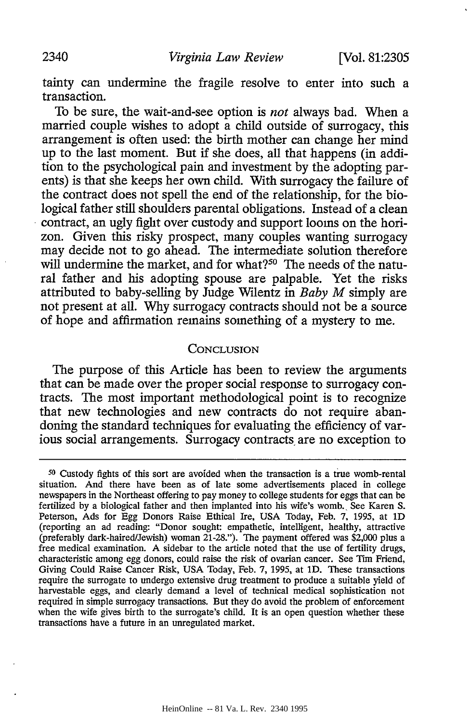tainty can undermine the fragile resolve to enter into such a transaction.

To be sure, the wait-and-see option is *not* always bad. When a married couple wishes to adopt a child outside of surrogacy, this arrangement is often used: the birth mother can change her mind up to the last moment. But if she does, all that happens (in addition to the psychological pain and investment by the adopting parents) is that she keeps her own child. With surrogacy the failure of the contract does not spell the end of the relationship, for the biological father still shoulders parental obligations. Instead of a clean contract, an ugly fight over custody and support looms on the horizon. Given this risky prospect, many couples wanting surrogacy may decide not to go ahead. The intermediate solution therefore will undermine the market, and for what?<sup>50</sup> The needs of the natural father and his adopting spouse are palpable. Yet the risks attributed to baby-selling by Judge Wilentz in *Baby M* simply are not present at all. Why surrogacy contracts should not be a source of hope and affirmation remains something of a mystery to me.

#### **CONCLUSION**

The purpose of this Article has been to review the arguments that can be made over the proper social response to surrogacy contracts. The most important methodological point is to recognize that new technologies and new contracts do not require abandoning the standard techniques for evaluating the efficiency of various social arrangements. Surrogacy contracts are no exception to

**<sup>50</sup>**Custody fights of this sort are avoided when the transaction is a true womb-rental situation. And there have been as of late some advertisements placed in college newspapers in the Northeast offering to pay money to college students for eggs that can be fertilized by a biological father and then implanted into his wife's womb. See Karen S. Peterson, Ads for Egg Donors Raise Ethical Ire, USA Today, Feb. 7, 1995, at **1D** (reporting an ad reading: "Donor sought: empathetic, intelligent, healthy, attractive (preferably dark-haired/Jewish) woman 21-28."). The payment offered was \$2,000 plus a free medical examination. A sidebar to the article noted that the use of fertility drugs, characteristic among egg donors, could raise the risk of ovarian cancer. See Tim Friend, Giving Could Raise Cancer Risk, USA Today, Feb. 7, 1995, at **1D.** These transactions require the surrogate to undergo extensive drug treatment to produce a suitable yield of harvestable eggs, and clearly demand a level of technical medical sophistication not required in simple surrogacy transactions. But they do avoid the problem of enforcement when the wife gives birth to the surrogate's child. It is an open question whether these transactions have a future in an unregulated market.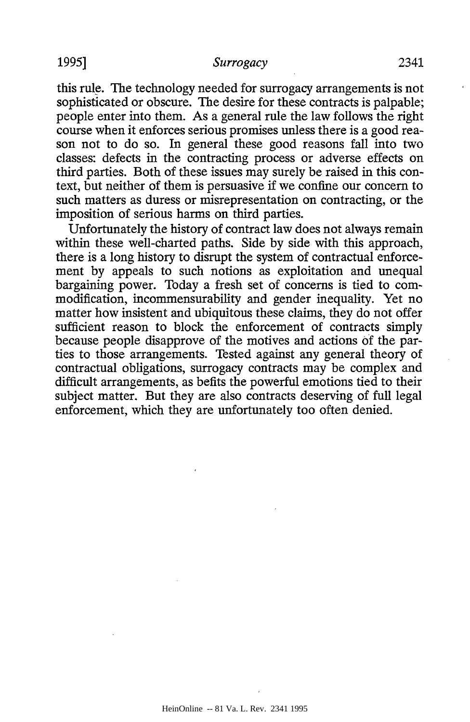this rule. The technology needed for surrogacy arrangements is not sophisticated or obscure. The desire for these contracts is palpable; people enter into them. As a general rule the law follows the right course when it enforces serious promises unless there is a good reason not to do so. In general these good reasons fall into two classes: defects in the contracting process or adverse effects on third parties. Both of these issues may surely be raised in this context, but neither of them is persuasive if we confine our concern to such matters as duress or misrepresentation on contracting, or the imposition of serious harms on third parties.

Unfortunately the history of contract law does not always remain within these well-charted paths. Side by side with this approach, there is a long history to disrupt the system of contractual enforcement by appeals to such notions as exploitation and unequal bargaining power. Today a fresh set of concerns is tied to commodification, incommensurability and gender inequality. Yet no matter how insistent and ubiquitous these claims, they do not offer sufficient reason to block the enforcement of contracts simply because people disapprove of the motives and actions of the parties to those arrangements. Tested against any general theory of contractual obligations, surrogacy contracts may be complex and difficult arrangements, as befits the powerful emotions tied to their subject matter. But they are also contracts deserving of full legal enforcement, which they are unfortunately too often denied.